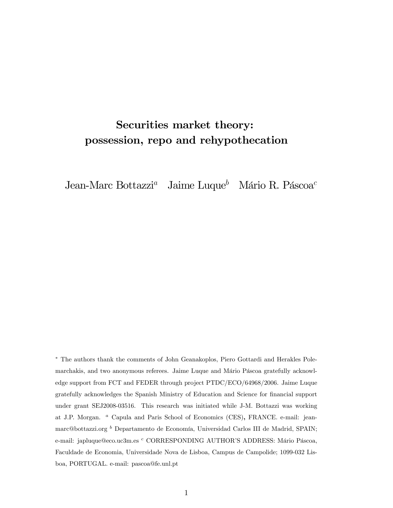# Securities market theory: possession, repo and rehypothecation

Jean-Marc Bottazzi<sup>a</sup> Jaime Luque<sup>b</sup> Mário R. Páscoa<sup>c</sup>

 The authors thank the comments of John Geanakoplos, Piero Gottardi and Herakles Polemarchakis, and two anonymous referees. Jaime Luque and Mário Páscoa gratefully acknowledge support from FCT and FEDER through project PTDC/ECO/64968/2006. Jaime Luque gratefully acknowledges the Spanish Ministry of Education and Science for Önancial support under grant SEJ2008-03516. This research was initiated while J-M. Bottazzi was working at J.P. Morgan. <sup>a</sup> Capula and Paris School of Economics (CES), FRANCE. e-mail: jeanmarc@bottazzi.org  $^b$  Departamento de Economía, Universidad Carlos III de Madrid, SPAIN; e-mail: japluque@eco.uc3m.es <sup>c</sup> CORRESPONDING AUTHOR'S ADDRESS: Mário Páscoa, Faculdade de Economia, Universidade Nova de Lisboa, Campus de Campolide; 1099-032 Lisboa, PORTUGAL. e-mail: pascoa@fe.unl.pt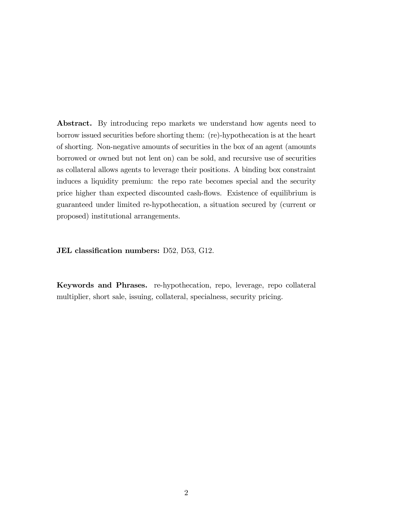Abstract. By introducing repo markets we understand how agents need to borrow issued securities before shorting them: (re)-hypothecation is at the heart of shorting. Non-negative amounts of securities in the box of an agent (amounts borrowed or owned but not lent on) can be sold, and recursive use of securities as collateral allows agents to leverage their positions. A binding box constraint induces a liquidity premium: the repo rate becomes special and the security price higher than expected discounted cash-flows. Existence of equilibrium is guaranteed under limited re-hypothecation, a situation secured by (current or proposed) institutional arrangements.

JEL classification numbers: D52, D53, G12.

Keywords and Phrases. re-hypothecation, repo, leverage, repo collateral multiplier, short sale, issuing, collateral, specialness, security pricing.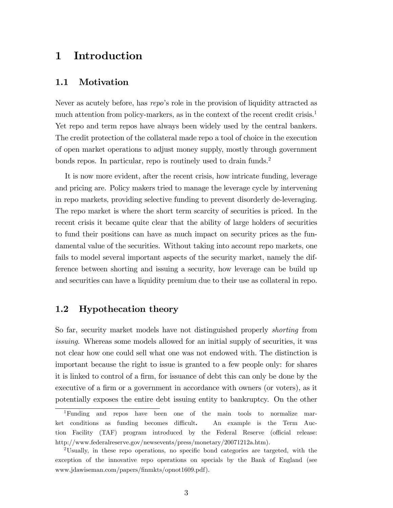# 1 Introduction

## 1.1 Motivation

Never as acutely before, has repo's role in the provision of liquidity attracted as much attention from policy-markers, as in the context of the recent credit crisis.<sup>1</sup> Yet repo and term repos have always been widely used by the central bankers. The credit protection of the collateral made repo a tool of choice in the execution of open market operations to adjust money supply, mostly through government bonds repos. In particular, repo is routinely used to drain funds.<sup>2</sup>

It is now more evident, after the recent crisis, how intricate funding, leverage and pricing are. Policy makers tried to manage the leverage cycle by intervening in repo markets, providing selective funding to prevent disorderly de-leveraging. The repo market is where the short term scarcity of securities is priced. In the recent crisis it became quite clear that the ability of large holders of securities to fund their positions can have as much impact on security prices as the fundamental value of the securities. Without taking into account repo markets, one fails to model several important aspects of the security market, namely the difference between shorting and issuing a security, how leverage can be build up and securities can have a liquidity premium due to their use as collateral in repo.

### 1.2 Hypothecation theory

So far, security market models have not distinguished properly shorting from issuing. Whereas some models allowed for an initial supply of securities, it was not clear how one could sell what one was not endowed with. The distinction is important because the right to issue is granted to a few people only: for shares it is linked to control of a firm, for issuance of debt this can only be done by the executive of a firm or a government in accordance with owners (or voters), as it potentially exposes the entire debt issuing entity to bankruptcy. On the other

<sup>1</sup>Funding and repos have been one of the main tools to normalize market conditions as funding becomes difficult. An example is the Term Auction Facility (TAF) program introduced by the Federal Reserve (official release: http://www.federalreserve.gov/newsevents/press/monetary/20071212a.htm).

<sup>&</sup>lt;sup>2</sup>Usually, in these repo operations, no specific bond categories are targeted, with the exception of the innovative repo operations on specials by the Bank of England (see www.jdawiseman.com/papers/Önmkts/opnot1609.pdf).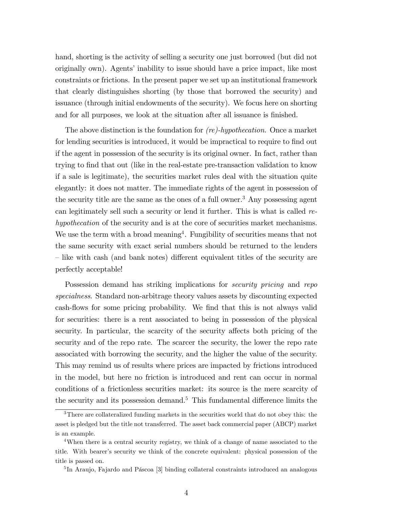hand, shorting is the activity of selling a security one just borrowed (but did not originally own). Agents' inability to issue should have a price impact, like most constraints or frictions. In the present paper we set up an institutional framework that clearly distinguishes shorting (by those that borrowed the security) and issuance (through initial endowments of the security). We focus here on shorting and for all purposes, we look at the situation after all issuance is finished.

The above distinction is the foundation for (re)-hypothecation. Once a market for lending securities is introduced, it would be impractical to require to find out if the agent in possession of the security is its original owner. In fact, rather than trying to Önd that out (like in the real-estate pre-transaction validation to know if a sale is legitimate), the securities market rules deal with the situation quite elegantly: it does not matter. The immediate rights of the agent in possession of the security title are the same as the ones of a full owner.<sup>3</sup> Any possessing agent can legitimately sell such a security or lend it further. This is what is called rehypothecation of the security and is at the core of securities market mechanisms. We use the term with a broad meaning<sup>4</sup>. Fungibility of securities means that not the same security with exact serial numbers should be returned to the lenders  $\overline{\phantom{a}}$  like with cash (and bank notes) different equivalent titles of the security are perfectly acceptable!

Possession demand has striking implications for *security pricing* and repo specialness. Standard non-arbitrage theory values assets by discounting expected cash-flows for some pricing probability. We find that this is not always valid for securities: there is a rent associated to being in possession of the physical security. In particular, the scarcity of the security affects both pricing of the security and of the repo rate. The scarcer the security, the lower the repo rate associated with borrowing the security, and the higher the value of the security. This may remind us of results where prices are impacted by frictions introduced in the model, but here no friction is introduced and rent can occur in normal conditions of a frictionless securities market: its source is the mere scarcity of the security and its possession demand.<sup>5</sup> This fundamental difference limits the

<sup>3</sup>There are collateralized funding markets in the securities world that do not obey this: the asset is pledged but the title not transferred. The asset back commercial paper (ABCP) market is an example.

<sup>4</sup>When there is a central security registry, we think of a change of name associated to the title. With bearer's security we think of the concrete equivalent: physical possession of the title is passed on.

<sup>&</sup>lt;sup>5</sup>In Araujo, Fajardo and Páscoa [3] binding collateral constraints introduced an analogous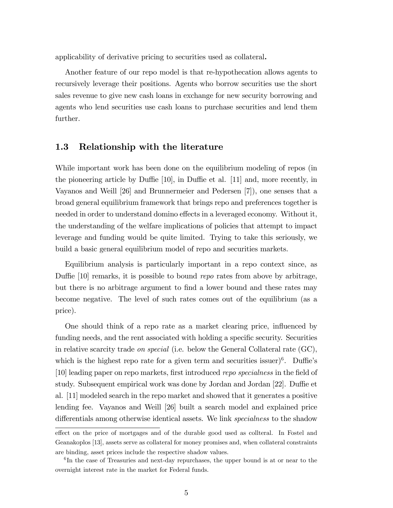applicability of derivative pricing to securities used as collateral.

Another feature of our repo model is that re-hypothecation allows agents to recursively leverage their positions. Agents who borrow securities use the short sales revenue to give new cash loans in exchange for new security borrowing and agents who lend securities use cash loans to purchase securities and lend them further.

### 1.3 Relationship with the literature

While important work has been done on the equilibrium modeling of repos (in the pioneering article by Duffie  $[10]$ , in Duffie et al.  $[11]$  and, more recently, in Vayanos and Weill [26] and Brunnermeier and Pedersen [7]), one senses that a broad general equilibrium framework that brings repo and preferences together is needed in order to understand domino effects in a leveraged economy. Without it, the understanding of the welfare implications of policies that attempt to impact leverage and funding would be quite limited. Trying to take this seriously, we build a basic general equilibrium model of repo and securities markets.

Equilibrium analysis is particularly important in a repo context since, as Duffie [10] remarks, it is possible to bound repo rates from above by arbitrage, but there is no arbitrage argument to find a lower bound and these rates may become negative. The level of such rates comes out of the equilibrium (as a price).

One should think of a repo rate as a market clearing price, influenced by funding needs, and the rent associated with holding a specific security. Securities in relative scarcity trade on special (i.e. below the General Collateral rate  $(GC)$ , which is the highest repo rate for a given term and securities issuer)<sup>6</sup>. Duffie's [10] leading paper on repo markets, first introduced *repo specialness* in the field of study. Subsequent empirical work was done by Jordan and Jordan [22]. Duffie et al. [11] modeled search in the repo market and showed that it generates a positive lending fee. Vayanos and Weill [26] built a search model and explained price differentials among otherwise identical assets. We link *specialness* to the shadow

effect on the price of mortgages and of the durable good used as collteral. In Fostel and Geanakoplos [13], assets serve as collateral for money promises and, when collateral constraints are binding, asset prices include the respective shadow values.

<sup>&</sup>lt;sup>6</sup>In the case of Treasuries and next-day repurchases, the upper bound is at or near to the overnight interest rate in the market for Federal funds.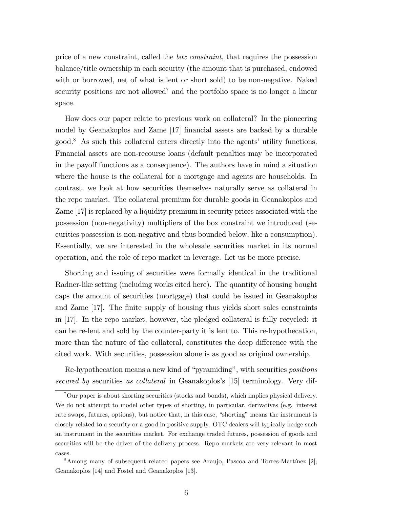price of a new constraint, called the box constraint, that requires the possession balance/title ownership in each security (the amount that is purchased, endowed with or borrowed, net of what is lent or short sold) to be non-negative. Naked security positions are not allowed<sup>7</sup> and the portfolio space is no longer a linear space.

How does our paper relate to previous work on collateral? In the pioneering model by Geanakoplos and Zame [17] Önancial assets are backed by a durable good.<sup>8</sup> As such this collateral enters directly into the agents' utility functions. Financial assets are non-recourse loans (default penalties may be incorporated in the payoff functions as a consequence). The authors have in mind a situation where the house is the collateral for a mortgage and agents are households. In contrast, we look at how securities themselves naturally serve as collateral in the repo market. The collateral premium for durable goods in Geanakoplos and Zame [17] is replaced by a liquidity premium in security prices associated with the possession (non-negativity) multipliers of the box constraint we introduced (securities possession is non-negative and thus bounded below, like a consumption). Essentially, we are interested in the wholesale securities market in its normal operation, and the role of repo market in leverage. Let us be more precise.

Shorting and issuing of securities were formally identical in the traditional Radner-like setting (including works cited here). The quantity of housing bought caps the amount of securities (mortgage) that could be issued in Geanakoplos and Zame  $[17]$ . The finite supply of housing thus yields short sales constraints in [17]. In the repo market, however, the pledged collateral is fully recycled: it can be re-lent and sold by the counter-party it is lent to. This re-hypothecation, more than the nature of the collateral, constitutes the deep difference with the cited work. With securities, possession alone is as good as original ownership.

Re-hypothecation means a new kind of "pyramiding", with securities *positions* secured by securities as collateral in Geanakoplos's [15] terminology. Very dif-

 $7$ Our paper is about shorting securities (stocks and bonds), which implies physical delivery. We do not attempt to model other types of shorting, in particular, derivatives (e.g. interest rate swaps, futures, options), but notice that, in this case, "shorting" means the instrument is closely related to a security or a good in positive supply. OTC dealers will typically hedge such an instrument in the securities market. For exchange traded futures, possession of goods and securities will be the driver of the delivery process. Repo markets are very relevant in most cases.

 $8$ Among many of subsequent related papers see Araujo, Pascoa and Torres-Martínez [2], Geanakoplos [14] and Fostel and Geanakoplos [13].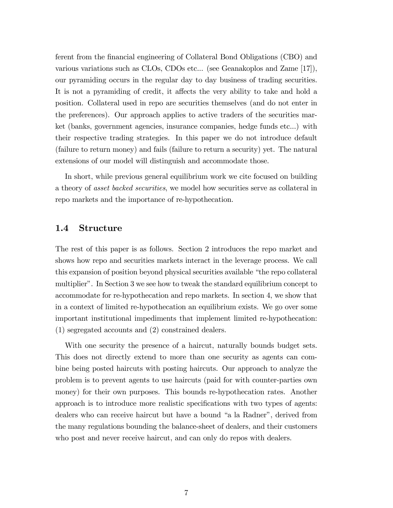ferent from the financial engineering of Collateral Bond Obligations (CBO) and various variations such as CLOs, CDOs etc... (see Geanakoplos and Zame [17]), our pyramiding occurs in the regular day to day business of trading securities. It is not a pyramiding of credit, it affects the very ability to take and hold a position. Collateral used in repo are securities themselves (and do not enter in the preferences). Our approach applies to active traders of the securities market (banks, government agencies, insurance companies, hedge funds etc...) with their respective trading strategies. In this paper we do not introduce default (failure to return money) and fails (failure to return a security) yet. The natural extensions of our model will distinguish and accommodate those.

In short, while previous general equilibrium work we cite focused on building a theory of asset backed securities, we model how securities serve as collateral in repo markets and the importance of re-hypothecation.

### 1.4 Structure

The rest of this paper is as follows. Section 2 introduces the repo market and shows how repo and securities markets interact in the leverage process. We call this expansion of position beyond physical securities available "the repo collateral multiplier". In Section 3 we see how to tweak the standard equilibrium concept to accommodate for re-hypothecation and repo markets. In section 4, we show that in a context of limited re-hypothecation an equilibrium exists. We go over some important institutional impediments that implement limited re-hypothecation: (1) segregated accounts and (2) constrained dealers.

With one security the presence of a haircut, naturally bounds budget sets. This does not directly extend to more than one security as agents can combine being posted haircuts with posting haircuts. Our approach to analyze the problem is to prevent agents to use haircuts (paid for with counter-parties own money) for their own purposes. This bounds re-hypothecation rates. Another approach is to introduce more realistic specifications with two types of agents: dealers who can receive haircut but have a bound "a la Radner", derived from the many regulations bounding the balance-sheet of dealers, and their customers who post and never receive haircut, and can only do repos with dealers.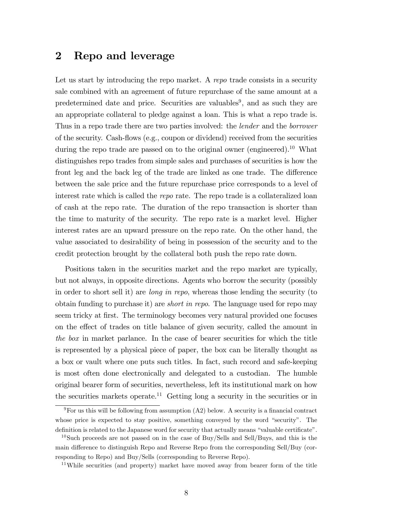# 2 Repo and leverage

Let us start by introducing the repo market. A repo trade consists in a security sale combined with an agreement of future repurchase of the same amount at a predetermined date and price. Securities are valuables<sup>9</sup>, and as such they are an appropriate collateral to pledge against a loan. This is what a repo trade is. Thus in a repo trade there are two parties involved: the lender and the borrower of the security. Cash-flows  $(e.g., coupon or dividend)$  received from the securities during the repo trade are passed on to the original owner (engineered).<sup>10</sup> What distinguishes repo trades from simple sales and purchases of securities is how the front leg and the back leg of the trade are linked as one trade. The difference between the sale price and the future repurchase price corresponds to a level of interest rate which is called the repo rate. The repo trade is a collateralized loan of cash at the repo rate. The duration of the repo transaction is shorter than the time to maturity of the security. The repo rate is a market level. Higher interest rates are an upward pressure on the repo rate. On the other hand, the value associated to desirability of being in possession of the security and to the credit protection brought by the collateral both push the repo rate down.

Positions taken in the securities market and the repo market are typically, but not always, in opposite directions. Agents who borrow the security (possibly in order to short sell it) are long in repo, whereas those lending the security (to obtain funding to purchase it) are short in repo. The language used for repo may seem tricky at first. The terminology becomes very natural provided one focuses on the effect of trades on title balance of given security, called the amount in the box in market parlance. In the case of bearer securities for which the title is represented by a physical piece of paper, the box can be literally thought as a box or vault where one puts such titles. In fact, such record and safe-keeping is most often done electronically and delegated to a custodian. The humble original bearer form of securities, nevertheless, left its institutional mark on how the securities markets operate.<sup>11</sup> Getting long a security in the securities or in

<sup>&</sup>lt;sup>9</sup>For us this will be following from assumption  $(A2)$  below. A security is a financial contract whose price is expected to stay positive, something conveyed by the word "security". The definition is related to the Japanese word for security that actually means "valuable certificate".

<sup>&</sup>lt;sup>10</sup>Such proceeds are not passed on in the case of Buy/Sells and Sell/Buys, and this is the main difference to distinguish Repo and Reverse Repo from the corresponding Sell/Buy (corresponding to Repo) and Buy/Sells (corresponding to Reverse Repo).

<sup>&</sup>lt;sup>11</sup>While securities (and property) market have moved away from bearer form of the title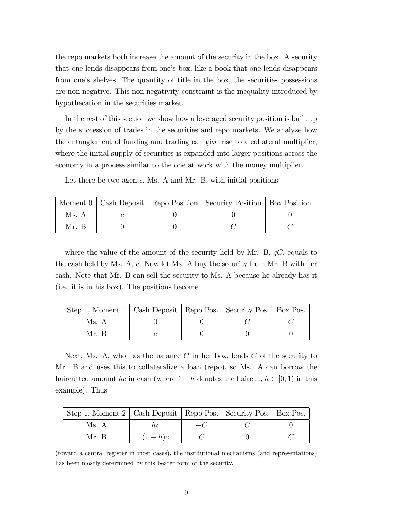the repo markets both increase the amount of the security in the box. A security that one lends disappears from one's box, like a book that one lends disappears from one's shelves. The quantity of title in the box, the securities possessions are non-negative. This non negativity constraint is the inequality introduced by hypothecation in the securities market.

In the rest of this section we show how a leveraged security position is built up by the succession of trades in the securities and repo markets. We analyze how the entanglement of funding and trading can give rise to a collateral multiplier, where the initial supply of securities is expanded into larger positions across the economy in a process similar to the one at work with the money multiplier.

|       |  | Moment $0 \mid$ Cash Deposit $\mid$ Repo Position $\mid$ Security Position $\mid$ Box Position |  |
|-------|--|------------------------------------------------------------------------------------------------|--|
| Ms. A |  |                                                                                                |  |
| Mr. B |  |                                                                                                |  |

Let there be two agents, Ms. A and Mr. B, with initial positions

where the value of the amount of the security held by Mr. B,  $qC$ , equals to the cash held by Ms. A, c. Now let Ms. A buy the security from Mr. B with her cash. Note that Mr. B can sell the security to Ms. A because he already has it (i.e. it is in his box). The positions become

| Step 1, Moment 1   Cash Deposit   Repo Pos.   Security Pos.   Box Pos. |  |  |
|------------------------------------------------------------------------|--|--|
| Ms. A                                                                  |  |  |
| Mr. B                                                                  |  |  |

Next, Ms. A, who has the balance  $C$  in her box, lends  $C$  of the security to Mr. B and uses this to collateralize a loan (repo), so Ms. A can borrow the haircutted amount hc in cash (where  $1-h$  denotes the haircut,  $h \in [0, 1)$  in this example). Thus

| Step 1, Moment 2   Cash Deposit   Repo Pos.   Security Pos.   Box Pos. |          |  |  |
|------------------------------------------------------------------------|----------|--|--|
| Ms. A                                                                  |          |  |  |
| Mr. B                                                                  | $(1-h)c$ |  |  |

(toward a central register in most cases), the institutional mechanisms (and representations) has been mostly determined by this bearer form of the security.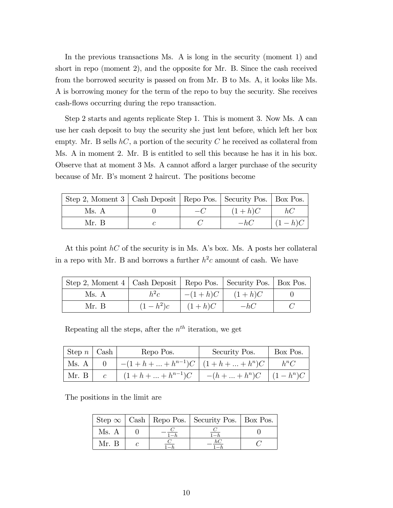In the previous transactions Ms. A is long in the security (moment 1) and short in repo (moment 2), and the opposite for Mr. B. Since the cash received from the borrowed security is passed on from Mr. B to Ms. A, it looks like Ms. A is borrowing money for the term of the repo to buy the security. She receives cash-flows occurring during the repo transaction.

Step 2 starts and agents replicate Step 1. This is moment 3. Now Ms. A can use her cash deposit to buy the security she just lent before, which left her box empty. Mr. B sells  $hC$ , a portion of the security C he received as collateral from Ms. A in moment 2. Mr. B is entitled to sell this because he has it in his box. Observe that at moment 3 Ms. A cannot afford a larger purchase of the security because of Mr. Bís moment 2 haircut. The positions become

| Step 2, Moment 3   Cash Deposit   Repo Pos.   Security Pos.   Box Pos. |      |          |          |
|------------------------------------------------------------------------|------|----------|----------|
| Ms. A                                                                  | $-0$ | $(1+h)C$ | hC       |
| Mr. B                                                                  |      | $-hC$    | $(1-h)C$ |

At this point  $hC$  of the security is in Ms. A's box. Ms. A posts her collateral in a repo with Mr. B and borrows a further  $h^2c$  amount of cash. We have

| Step 2, Moment 4   Cash Deposit   Repo Pos.   Security Pos.   Box Pos. |            |          |                    |  |
|------------------------------------------------------------------------|------------|----------|--------------------|--|
| Ms. A                                                                  | $h^2c$     |          | $-(1+h)C$ $(1+h)C$ |  |
| Mr. B                                                                  | $(1-h^2)c$ | $(1+h)C$ | $-hC$              |  |

Repeating all the steps, after the  $n<sup>th</sup>$  iteration, we get

| $\vert$ Step n $\vert$ Cash $\vert$ | Repo Pos.                                                    | Security Pos.               | Box Pos. |
|-------------------------------------|--------------------------------------------------------------|-----------------------------|----------|
| Ms. A $\vert$                       | $\vert -(1+h+\ldots+h^{n-1})C \vert (1+h+\ldots+h^n)C \vert$ |                             | $h^nC$   |
| Mr. B $\parallel$                   | $(1+h+\ldots+h^{n-1})C$                                      | $-(h +  + h^n)C \ (1-h^n)C$ |          |

The positions in the limit are

|       |  | Step $\infty$   Cash   Repo Pos.   Security Pos.   Box Pos. |  |
|-------|--|-------------------------------------------------------------|--|
| Ms. A |  | $\overline{1-h}$                                            |  |
| Mr. B |  | hC                                                          |  |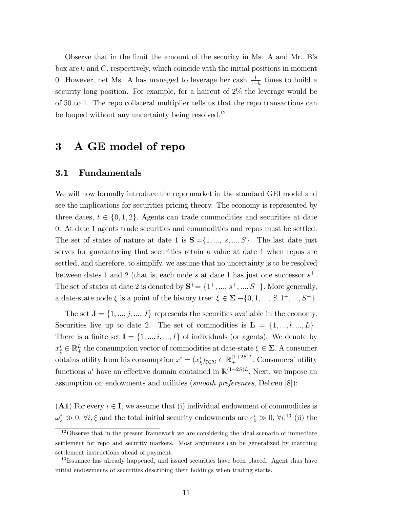Observe that in the limit the amount of the security in Ms. A and Mr. Bís  $\alpha$  box are 0 and  $C$ , respectively, which coincide with the initial positions in moment 0. However, net Ms. A has managed to leverage her cash  $\frac{1}{1-h}$  times to build a security long position. For example, for a haircut of 2% the leverage would be of 50 to 1. The repo collateral multiplier tells us that the repo transactions can be looped without any uncertainty being resolved.<sup>12</sup>

# 3 A GE model of repo

### 3.1 Fundamentals

We will now formally introduce the repo market in the standard GEI model and see the implications for securities pricing theory. The economy is represented by three dates,  $t \in \{0, 1, 2\}$ . Agents can trade commodities and securities at date 0. At date 1 agents trade securities and commodities and repos must be settled. The set of states of nature at date 1 is  $S = \{1, ..., s, ..., S\}$ . The last date just serves for guaranteeing that securities retain a value at date 1 when repos are settled, and therefore, to simplify, we assume that no uncertainty is to be resolved between dates 1 and 2 (that is, each node s at date 1 has just one successor  $s^+$ . The set of states at date 2 is denoted by  $S^+ = \{1^+, ..., s^+, ..., S^+\}$ . More generally, a date-state node  $\xi$  is a point of the history tree:  $\xi \in \Sigma \equiv \{0, 1, ..., S, 1^+, ..., S^+\}$ .

The set  $J = \{1, ..., j, ..., J\}$  represents the securities available in the economy. Securities live up to date 2. The set of commodities is  $\mathbf{L} = \{1, ..., l, ..., L\}$ . There is a finite set  $I = \{1, ..., i, ..., I\}$  of individuals (or agents). We denote by  $x_{\xi}^{i} \in \mathbb{R}_{+}^{L}$  the consumption vector of commodities at date-state  $\xi \in \Sigma$ . A consumer obtains utility from his consumption  $x^i = (x^i_\xi)_{\xi \in \mathbf{\Sigma}} \in \mathbb{R}^{(1+2S)L}_+$ . Consumers' utility functions  $u^i$  have an effective domain contained in  $\mathbb{R}^{(1+2S)L}$ . Next, we impose an assumption on endowments and utilities (smooth preferences, Debreu [8]):

 $(A1)$  For every  $i \in I$ , we assume that (i) individual endowment of commodities is  $\omega_{\xi}^{i} \gg 0$ ,  $\forall i, \xi$  and the total initial security endowments are  $e_0^{i} \gg 0$ ,  $\forall i$ <sup>13</sup> (ii) the

<sup>&</sup>lt;sup>12</sup>Observe that in the present framework we are considering the ideal scenario of immediate settlement for repo and security markets. Most arguments can be generalized by matching settlement instructions ahead of payment.

<sup>&</sup>lt;sup>13</sup>Issuance has already happened, and issued securities have been placed. Agent thus have initial endowments of securities describing their holdings when trading starts.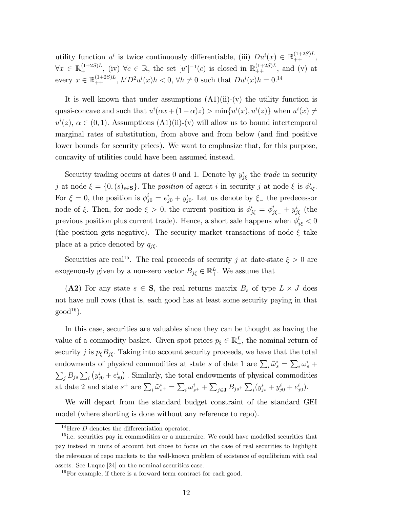utility function  $u^i$  is twice continuously differentiable, (iii)  $Du^i(x) \in \mathbb{R}^{(1+2S)L}_{++}$ ,  $\forall x \in \mathbb{R}_+^{(1+2S)L}$ , (iv)  $\forall c \in \mathbb{R}$ , the set  $[u^i]^{-1}(c)$  is closed in  $\mathbb{R}_{++}^{(1+2S)L}$ , and (v) at every  $x \in \mathbb{R}_{++}^{(1+2S)L}$ ,  $h'D^2u^i(x)h < 0$ ,  $\forall h \neq 0$  such that  $Du^i(x)h = 0$ .<sup>14</sup>

It is well known that under assumptions  $(A1)(ii)-(v)$  the utility function is quasi-concave and such that  $u^{i}(\alpha x + (1 - \alpha)z) > \min\{u^{i}(x), u^{i}(z)\}\)$  when  $u^{i}(x) \neq$  $u^{i}(z)$ ,  $\alpha \in (0, 1)$ . Assumptions  $(A1)(ii)-(v)$  will allow us to bound intertemporal marginal rates of substitution, from above and from below (and find positive lower bounds for security prices). We want to emphasize that, for this purpose, concavity of utilities could have been assumed instead.

Security trading occurs at dates 0 and 1. Denote by  $y_{j\xi}^i$  the *trade* in security j at node  $\xi = \{0, (s)_{s \in \mathbf{S}}\}$ . The position of agent i in security j at node  $\xi$  is  $\phi^i_{j\xi}$ . For  $\xi = 0$ , the position is  $\phi_{j0}^i = e_{j0}^i + y_{j0}^i$ . Let us denote by  $\xi$  the predecessor node of  $\xi$ . Then, for node  $\xi > 0$ , the current position is  $\phi_{j\xi}^i = \phi_j^i$  $y^i_{j\xi} + y^i_{j\xi}$  (the previous position plus current trade). Hence, a short sale happens when  $\phi_{j\xi}^i < 0$ (the position gets negative). The security market transactions of node  $\xi$  take place at a price denoted by  $q_{i\xi}$ .

Securities are real<sup>15</sup>. The real proceeds of security j at date-state  $\xi > 0$  are exogenously given by a non-zero vector  $B_{j\xi} \in \mathbb{R}^L_+$ . We assume that

(A2) For any state  $s \in S$ , the real returns matrix  $B_s$  of type  $L \times J$  does not have null rows (that is, each good has at least some security paying in that  $\text{good}^{16}$ ).

In this case, securities are valuables since they can be thought as having the value of a commodity basket. Given spot prices  $p_{\xi} \in \mathbb{R}^L_+$ , the nominal return of security j is  $p_{\xi}B_{i\xi}$ . Taking into account security proceeds, we have that the total endowments of physical commodities at state s of date 1 are  $\sum_i \tilde{\omega}_s^i = \sum_i \omega_s^i +$  $\sum_j B_{js} \sum_i (y_{j0}^i + e_{j0}^i)$ . Similarly, the total endowments of physical commodities at date 2 and state  $s^+$  are  $\sum_i \tilde{\omega}_{s^+}^i = \sum_i \omega_{s^+}^i + \sum_{j \in \mathbf{J}} B_{js^+} \sum_i (y_{js}^i + y_{j0}^i + e_{j0}^i)$ .

We will depart from the standard budget constraint of the standard GEI model (where shorting is done without any reference to repo).

 $14$ Here *D* denotes the differentiation operator.

<sup>&</sup>lt;sup>15</sup> i.e. securities pay in commodities or a numeraire. We could have modelled securities that pay instead in units of account but chose to focus on the case of real securities to highlight the relevance of repo markets to the well-known problem of existence of equilibrium with real assets. See Luque [24] on the nominal securities case.

 $16$  For example, if there is a forward term contract for each good.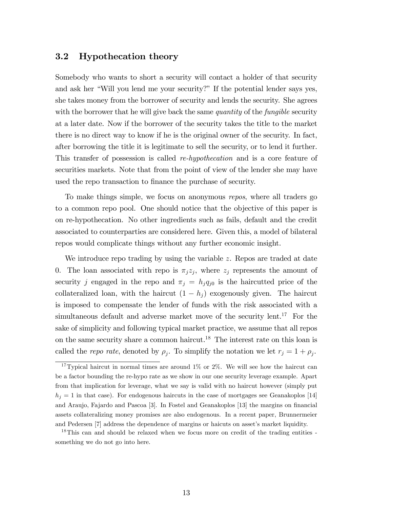### 3.2 Hypothecation theory

Somebody who wants to short a security will contact a holder of that security and ask her "Will you lend me your security?" If the potential lender says yes, she takes money from the borrower of security and lends the security. She agrees with the borrower that he will give back the same quantity of the *fungible* security at a later date. Now if the borrower of the security takes the title to the market there is no direct way to know if he is the original owner of the security. In fact, after borrowing the title it is legitimate to sell the security, or to lend it further. This transfer of possession is called re-hypothecation and is a core feature of securities markets. Note that from the point of view of the lender she may have used the repo transaction to finance the purchase of security.

To make things simple, we focus on anonymous repos, where all traders go to a common repo pool. One should notice that the objective of this paper is on re-hypothecation. No other ingredients such as fails, default and the credit associated to counterparties are considered here. Given this, a model of bilateral repos would complicate things without any further economic insight.

We introduce repo trading by using the variable  $z$ . Repos are traded at date 0. The loan associated with repo is  $\pi_j z_j$ , where  $z_j$  represents the amount of security j engaged in the repo and  $\pi_j = h_j q_{j0}$  is the haircutted price of the collateralized loan, with the haircut  $(1 - h_i)$  exogenously given. The haircut is imposed to compensate the lender of funds with the risk associated with a simultaneous default and adverse market move of the security lent.<sup>17</sup> For the sake of simplicity and following typical market practice, we assume that all repos on the same security share a common haircut.<sup>18</sup> The interest rate on this loan is called the repo rate, denoted by  $\rho_j$ . To simplify the notation we let  $r_j = 1 + \rho_j$ .

<sup>&</sup>lt;sup>17</sup>Typical haircut in normal times are around  $1\%$  or  $2\%$ . We will see how the haircut can be a factor bounding the re-hypo rate as we show in our one security leverage example. Apart from that implication for leverage, what we say is valid with no haircut however (simply put  $h_i = 1$  in that case). For endogenous haircuts in the case of mortgages see Geanakoplos [14] and Araujo, Fajardo and Pascoa [3]. In Fostel and Geanakoplos [13] the margins on financial assets collateralizing money promises are also endogenous. In a recent paper, Brunnermeier and Pedersen [7] address the dependence of margins or haicuts on asset's market liquidity.

<sup>&</sup>lt;sup>18</sup>This can and should be relaxed when we focus more on credit of the trading entities something we do not go into here.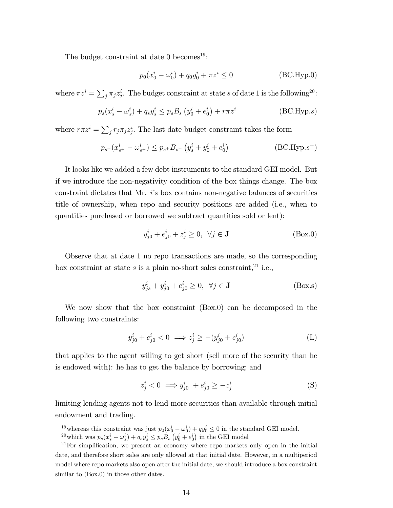The budget constraint at date 0 becomes<sup>19</sup>:

$$
p_0(x_0^i - \omega_0^i) + q_0 y_0^i + \pi z^i \le 0
$$
 (BC.Hyp.0)

where  $\pi z^i = \sum_j \pi_j z_j^i$ . The budget constraint at state s of date 1 is the following<sup>20</sup>:

$$
p_s(x_s^i - \omega_s^i) + q_s y_s^i \le p_s B_s (y_0^i + e_0^i) + r \pi z^i
$$
 (BC.Hyp.s)

where  $r\pi z^i = \sum_j r_j \pi_j z_j^i$ . The last date budget constraint takes the form

$$
p_{s+}(x_{s+}^{i} - \omega_{s+}^{i}) \le p_{s+}B_{s+}(y_{s}^{i} + y_{0}^{i} + e_{0}^{i})
$$
 (BC.Hyp.s<sup>+</sup>)

It looks like we added a few debt instruments to the standard GEI model. But if we introduce the non-negativity condition of the box things change. The box constraint dictates that Mr. iís box contains non-negative balances of securities title of ownership, when repo and security positions are added (i.e., when to quantities purchased or borrowed we subtract quantities sold or lent):

$$
y_{j0}^{i} + e_{j0}^{i} + z_{j}^{i} \ge 0, \ \forall j \in \mathbf{J}
$$
 (Box.0)

Observe that at date 1 no repo transactions are made, so the corresponding box constraint at state s is a plain no-short sales constraint,  $21$  i.e.,

$$
y_{js}^{i} + y_{j0}^{i} + e_{j0}^{i} \ge 0, \ \forall j \in \mathbf{J}
$$
 (Box.s)

We now show that the box constraint (Box.0) can be decomposed in the following two constraints:

$$
y_{j0}^i + e_{j0}^i < 0 \implies z_j^i \ge -\left(y_{j0}^i + e_{j0}^i\right) \tag{L}
$$

that applies to the agent willing to get short (sell more of the security than he is endowed with): he has to get the balance by borrowing; and

$$
z_j^i < 0 \implies y_{j0}^i + e_{j0}^i \ge -z_j^i \tag{S}
$$

limiting lending agents not to lend more securities than available through initial endowment and trading.

<sup>&</sup>lt;sup>19</sup>whereas this constraint was just  $p_0(x_0^i - \omega_0^i) + qy_0^i \leq 0$  in the standard GEI model.

<sup>&</sup>lt;sup>20</sup>which was  $p_s(x_s^i - \omega_s^i) + q_s y_s^i \leq p_s B_s (y_0^i + e_0^i)$  in the GEI model

 $21$  For simplification, we present an economy where repo markets only open in the initial date, and therefore short sales are only allowed at that initial date. However, in a multiperiod model where repo markets also open after the initial date, we should introduce a box constraint similar to  $(Box.0)$  in those other dates.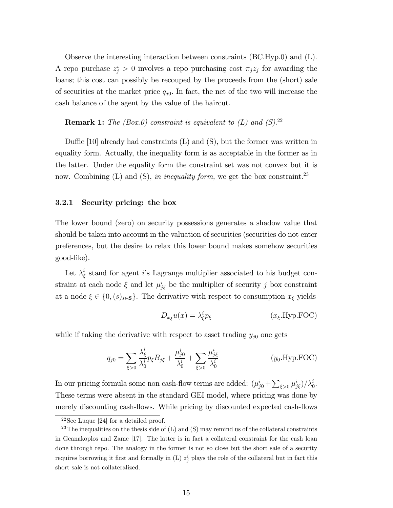Observe the interesting interaction between constraints (BC.Hyp.0) and (L). A repo purchase  $z_j^i > 0$  involves a repo purchasing cost  $\pi_j z_j$  for awarding the loans; this cost can possibly be recouped by the proceeds from the (short) sale of securities at the market price  $q_{i0}$ . In fact, the net of the two will increase the cash balance of the agent by the value of the haircut.

**Remark 1:** The  $(Box.0)$  constraint is equivalent to  $(L)$  and  $(S).^{22}$ 

Duffie [10] already had constraints  $(L)$  and  $(S)$ , but the former was written in equality form. Actually, the inequality form is as acceptable in the former as in the latter. Under the equality form the constraint set was not convex but it is now. Combining (L) and (S), in inequality form, we get the box constraint.<sup>23</sup>

#### 3.2.1 Security pricing: the box

The lower bound (zero) on security possessions generates a shadow value that should be taken into account in the valuation of securities (securities do not enter preferences, but the desire to relax this lower bound makes somehow securities good-like).

Let  $\lambda_{\ell}^{i}$  $\frac{i}{\xi}$  stand for agent *i*'s Lagrange multiplier associated to his budget constraint at each node  $\xi$  and let  $\mu_{j\xi}^i$  be the multiplier of security j box constraint at a node  $\xi \in \{0, (s)_{s\in\mathbf{S}}\}$ . The derivative with respect to consumption  $x_{\xi}$  yields

$$
D_{x_{\xi}}u(x) = \lambda_{\xi}^{i}p_{\xi}
$$
 (x\_{\xi} \text{.Hyp.FOC})

while if taking the derivative with respect to asset trading  $y_{i0}$  one gets

$$
q_{j0} = \sum_{\xi>0} \frac{\lambda_{\xi}^{i}}{\lambda_{0}^{i}} p_{\xi} B_{j\xi} + \frac{\mu_{j0}^{i}}{\lambda_{0}^{i}} + \sum_{\xi>0} \frac{\mu_{j\xi}^{i}}{\lambda_{0}^{i}} \qquad (y_{0}.\text{Hyp.FOC})
$$

In our pricing formula some non cash-flow terms are added:  $(\mu_{j0}^i + \sum_{\xi>0} \mu_{j\xi}^i)/\lambda_0^i$ . These terms were absent in the standard GEI model, where pricing was done by merely discounting cash-flows. While pricing by discounted expected cash-flows

 $22$ See Luque [24] for a detailed proof.

<sup>&</sup>lt;sup>23</sup>The inequalities on the thesis side of  $(L)$  and  $(S)$  may remind us of the collateral constraints in Geanakoplos and Zame [17]. The latter is in fact a collateral constraint for the cash loan done through repo. The analogy in the former is not so close but the short sale of a security requires borrowing it first and formally in (L)  $z_j^i$  plays the role of the collateral but in fact this short sale is not collateralized.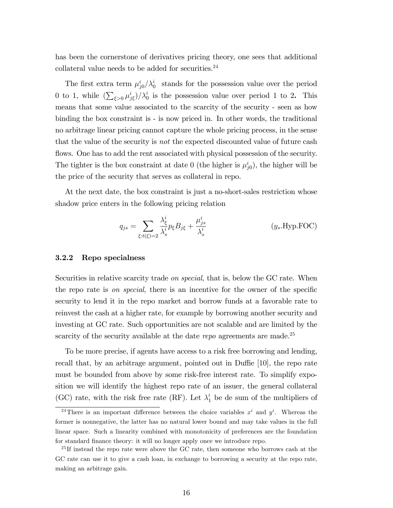has been the cornerstone of derivatives pricing theory, one sees that additional collateral value needs to be added for securities. $^{24}$ 

The first extra term  $\mu_{j0}^i/\lambda_0^i$  stands for the possession value over the period 0 to 1, while  $(\sum_{\xi>0} \mu_{j\xi}^i)/\lambda_0^i$  is the possession value over period 1 to 2. This means that some value associated to the scarcity of the security - seen as how binding the box constraint is - is now priced in. In other words, the traditional no arbitrage linear pricing cannot capture the whole pricing process, in the sense that the value of the security is not the expected discounted value of future cash flows. One has to add the rent associated with physical possession of the security. The tighter is the box constraint at date 0 (the higher is  $\mu_{j0}^{i}$ ), the higher will be the price of the security that serves as collateral in repo.

At the next date, the box constraint is just a no-short-sales restriction whose shadow price enters in the following pricing relation

$$
q_{js} = \sum_{\xi:t(\xi)=2} \frac{\lambda_{\xi}^{i}}{\lambda_{s}^{i}} p_{\xi} B_{j\xi} + \frac{\mu_{js}^{i}}{\lambda_{s}^{i}} \qquad (y_{s}.\text{Hyp.FOC})
$$

#### 3.2.2 Repo specialness

Securities in relative scarcity trade *on special*, that is, below the GC rate. When the repo rate is on special, there is an incentive for the owner of the specific security to lend it in the repo market and borrow funds at a favorable rate to reinvest the cash at a higher rate, for example by borrowing another security and investing at GC rate. Such opportunities are not scalable and are limited by the scarcity of the security available at the date *repo* agreements are made.<sup>25</sup>

To be more precise, if agents have access to a risk free borrowing and lending, recall that, by an arbitrage argument, pointed out in Duffie [10], the repo rate must be bounded from above by some risk-free interest rate. To simplify exposition we will identify the highest repo rate of an issuer, the general collateral (GC) rate, with the risk free rate (RF). Let  $\lambda_1^i$  be de sum of the multipliers of

<sup>&</sup>lt;sup>24</sup>There is an important difference between the choice variables  $x^i$  and  $y^i$ . Whereas the former is nonnegative, the latter has no natural lower bound and may take values in the full linear space. Such a linearity combined with monotonicity of preferences are the foundation for standard finance theory: it will no longer apply once we introduce repo.

 $^{25}$ If instead the repo rate were above the GC rate, then someone who borrows cash at the GC rate can use it to give a cash loan, in exchange to borrowing a security at the repo rate, making an arbitrage gain.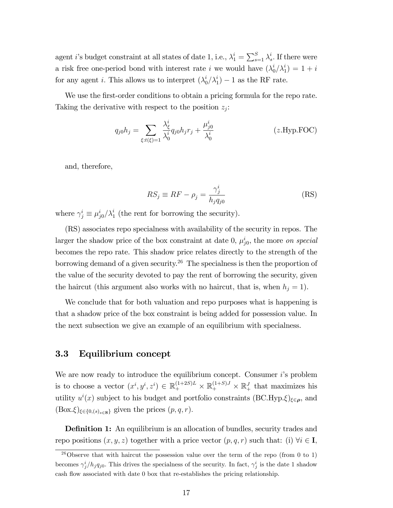agent *i*'s budget constraint at all states of date 1, i.e.,  $\lambda_1^i = \sum_{s=1}^S \lambda_s^i$  $\frac{i}{s}$ . If there were a risk free one-period bond with interest rate i we would have  $(\lambda_0^i)$  $j_0^i/\lambda_1^i$  = 1 + i for any agent *i*. This allows us to interpret  $(\lambda_0^i)$  $\binom{i}{0}$  / $\lambda_1^i$ ) – 1 as the RF rate.

We use the first-order conditions to obtain a pricing formula for the repo rate. Taking the derivative with respect to the position  $z_j$ :

$$
q_{j0}h_j = \sum_{\xi:t(\xi)=1} \frac{\lambda_{\xi}^i}{\lambda_0^i} q_{j0}h_j r_j + \frac{\mu_{j0}^i}{\lambda_0^i}
$$
 (z.Hyp.FOC)

and, therefore,

$$
RS_j \equiv RF - \rho_j = \frac{\gamma_j^i}{h_j q_{j0}} \tag{RS}
$$

where  $\gamma_j^i \equiv \mu_{j0}^i / \lambda_1^i$  (the rent for borrowing the security).

(RS) associates repo specialness with availability of the security in repos. The larger the shadow price of the box constraint at date 0,  $\mu_{j0}^{i}$ , the more on special becomes the repo rate. This shadow price relates directly to the strength of the borrowing demand of a given security.<sup>26</sup> The specialness is then the proportion of the value of the security devoted to pay the rent of borrowing the security, given the haircut (this argument also works with no haircut, that is, when  $h_j = 1$ ).

We conclude that for both valuation and repo purposes what is happening is that a shadow price of the box constraint is being added for possession value. In the next subsection we give an example of an equilibrium with specialness.

### 3.3 Equilibrium concept

We are now ready to introduce the equilibrium concept. Consumer  $i$ 's problem is to choose a vector  $(x^i, y^i, z^i) \in \mathbb{R}_+^{(1+2S)L} \times \mathbb{R}_+^{(1+S)J} \times \mathbb{R}_+^J$  that maximizes his utility  $u^{i}(x)$  subject to his budget and portfolio constraints  $(BC.Hyp.\xi)_{\xi \in \rho}$ , and  $(Box.\xi)_{\xi \in \{0, (s)_{s \in \mathbf{S}}\}}$  given the prices  $(p, q, r)$ .

**Definition 1:** An equilibrium is an allocation of bundles, security trades and repo positions  $(x, y, z)$  together with a price vector  $(p, q, r)$  such that: (i)  $\forall i \in I$ ;

 $^{26}$ Observe that with haircut the possession value over the term of the repo (from 0 to 1) becomes  $\gamma_j^i/h_j q_{j0}$ . This drives the specialness of the security. In fact,  $\gamma_j^i$  is the date 1 shadow cash flow associated with date 0 box that re-establishes the pricing relationship.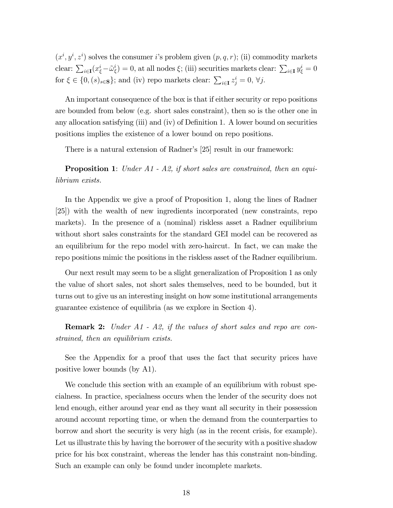$(x^i, y^i, z^i)$  solves the consumer is problem given  $(p, q, r)$ ; (ii) commodity markets clear:  $\sum_{i\in I} (x_{\xi}^i - \tilde{\omega}_{\xi}^i) = 0$ , at all nodes  $\xi$ ; (iii) securities markets clear:  $\sum_{i\in I} y_{\xi}^i = 0$ for  $\xi \in \{0, (s)_{s \in \mathbf{S}}\}$ ; and (iv) repo markets clear:  $\sum_{i \in \mathbf{I}} z_j^i = 0$ ,  $\forall j$ .

An important consequence of the box is that if either security or repo positions are bounded from below (e.g. short sales constraint), then so is the other one in any allocation satisfying (iii) and (iv) of Definition 1. A lower bound on securities positions implies the existence of a lower bound on repo positions.

There is a natural extension of Radner's [25] result in our framework:

Proposition 1: Under A1 - A2, if short sales are constrained, then an equilibrium exists.

In the Appendix we give a proof of Proposition 1, along the lines of Radner [25]) with the wealth of new ingredients incorporated (new constraints, repo markets). In the presence of a (nominal) riskless asset a Radner equilibrium without short sales constraints for the standard GEI model can be recovered as an equilibrium for the repo model with zero-haircut. In fact, we can make the repo positions mimic the positions in the riskless asset of the Radner equilibrium.

Our next result may seem to be a slight generalization of Proposition 1 as only the value of short sales, not short sales themselves, need to be bounded, but it turns out to give us an interesting insight on how some institutional arrangements guarantee existence of equilibria (as we explore in Section 4).

**Remark 2:** Under A1 - A2, if the values of short sales and repo are constrained, then an equilibrium exists.

See the Appendix for a proof that uses the fact that security prices have positive lower bounds (by A1).

We conclude this section with an example of an equilibrium with robust specialness. In practice, specialness occurs when the lender of the security does not lend enough, either around year end as they want all security in their possession around account reporting time, or when the demand from the counterparties to borrow and short the security is very high (as in the recent crisis, for example). Let us illustrate this by having the borrower of the security with a positive shadow price for his box constraint, whereas the lender has this constraint non-binding. Such an example can only be found under incomplete markets.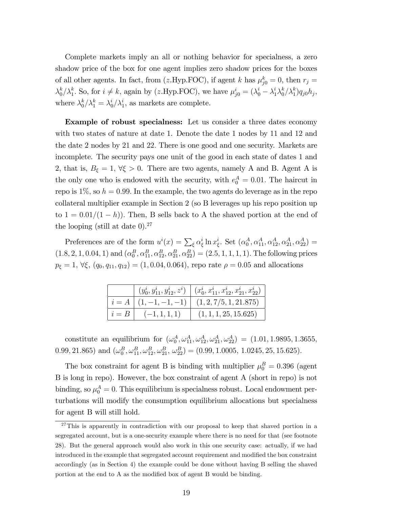Complete markets imply an all or nothing behavior for specialness, a zero shadow price of the box for one agent implies zero shadow prices for the boxes of all other agents. In fact, from (z.Hyp.FOC), if agent k has  $\mu_{j0}^k = 0$ , then  $r_j =$  $\lambda_0^k$  $_{0}^{k}/\lambda_{1}^{k}$ . So, for  $i \neq k$ , again by (z.Hyp.FOC), we have  $\mu_{j0}^{i} = (\lambda_{0}^{i} - \lambda_{1}^{i} \lambda_{0}^{k})$  $_{0}^{k}/\lambda_{1}^{k})q_{j0}h_{j},$ where  $\lambda_0^k$  $_{0}^{k}/\lambda_{1}^{k}=\lambda_{0}^{i}$  $\int_0^i/\lambda_1^i$ , as markets are complete.

Example of robust specialness: Let us consider a three dates economy with two states of nature at date 1. Denote the date 1 nodes by 11 and 12 and the date 2 nodes by 21 and 22: There is one good and one security. Markets are incomplete. The security pays one unit of the good in each state of dates 1 and 2, that is,  $B_{\xi} = 1$ ,  $\forall \xi > 0$ . There are two agents, namely A and B. Agent A is the only one who is endowed with the security, with  $e_0^A = 0.01$ . The haircut in repo is  $1\%$ , so  $h = 0.99$ . In the example, the two agents do leverage as in the repo collateral multiplier example in Section 2 (so B leverages up his repo position up to  $1 = 0.01/(1 - h)$ . Then, B sells back to A the shaved portion at the end of the looping (still at date  $0$ ).<sup>27</sup>

Preferences are of the form  $u^i(x) = \sum_{\xi} \alpha_{\xi}^i \ln x_{\xi}^i$ . Set  $(\alpha_0^A, \alpha_{11}^A, \alpha_{12}^A, \alpha_{21}^A, \alpha_{22}^A) =$  $(1.8, 2, 1, 0.04, 1)$  and  $(\alpha_0^B, \alpha_{11}^B, \alpha_{12}^B, \alpha_{21}^B, \alpha_{22}^B) = (2.5, 1, 1, 1, 1)$ . The following prices  $p_{\xi} = 1$ ,  $\forall \xi$ ,  $(q_0, q_{11}, q_{12}) = (1, 0.04, 0.064)$ , repo rate  $\rho = 0.05$  and allocations

|         | $(y_0^i, y_{11}^i, y_{12}^i, z^i) \mid (x_0^i, x_{11}^i, x_{12}^i, x_{21}^i, x_{22}^i)$ |
|---------|-----------------------------------------------------------------------------------------|
|         | $i = A \mid (1, -1, -1, -1) \mid (1, 2, 7/5, 1, 21.875)$                                |
| $i = B$ | $(-1, 1, 1, 1)$ $(1, 1, 1, 25, 15.625)$                                                 |

constitute an equilibrium for  $(\omega_0^A, \omega_{11}^A, \omega_{12}^A, \omega_{21}^A, \omega_{22}^A) = (1.01, 1.9895, 1.3655,$ 0.99, 21.865) and  $(\omega_0^B, \omega_{11}^B, \omega_{12}^B, \omega_{21}^B, \omega_{22}^B) = (0.99, 1.0005, 1.0245, 25, 15.625)$ .

The box constraint for agent B is binding with multiplier  $\mu_0^B = 0.396$  (agent B is long in repo). However, the box constraint of agent A (short in repo) is not binding, so  $\mu_0^A = 0$ . This equilibrium is specialness robust. Local endowment perturbations will modify the consumption equilibrium allocations but specialness for agent B will still hold.

 $27$ This is apparently in contradiction with our proposal to keep that shaved portion in a segregated account, but is a one-security example where there is no need for that (see footnote 28). But the general approach would also work in this one security case: actually, if we had introduced in the example that segregated account requirement and modified the box constraint accordingly (as in Section 4) the example could be done without having B selling the shaved portion at the end to A as the modified box of agent B would be binding.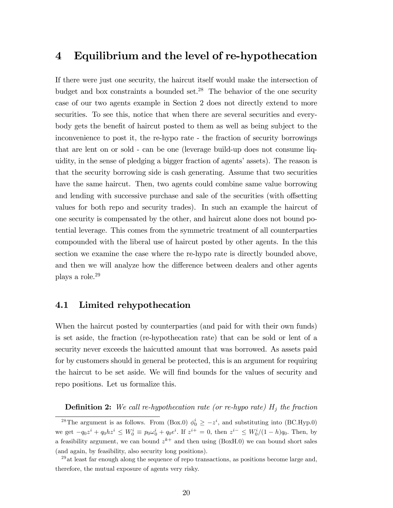# 4 Equilibrium and the level of re-hypothecation

If there were just one security, the haircut itself would make the intersection of budget and box constraints a bounded set.<sup>28</sup> The behavior of the one security case of our two agents example in Section 2 does not directly extend to more securities. To see this, notice that when there are several securities and everybody gets the benefit of haircut posted to them as well as being subject to the inconvenience to post it, the re-hypo rate - the fraction of security borrowings that are lent on or sold - can be one (leverage build-up does not consume liquidity, in the sense of pledging a bigger fraction of agents' assets). The reason is that the security borrowing side is cash generating. Assume that two securities have the same haircut. Then, two agents could combine same value borrowing and lending with successive purchase and sale of the securities (with offsetting values for both repo and security trades). In such an example the haircut of one security is compensated by the other, and haircut alone does not bound potential leverage. This comes from the symmetric treatment of all counterparties compounded with the liberal use of haircut posted by other agents. In the this section we examine the case where the re-hypo rate is directly bounded above, and then we will analyze how the difference between dealers and other agents plays a role.<sup>29</sup>

### 4.1 Limited rehypothecation

When the haircut posted by counterparties (and paid for with their own funds) is set aside, the fraction (re-hypothecation rate) that can be sold or lent of a security never exceeds the haicutted amount that was borrowed. As assets paid for by customers should in general be protected, this is an argument for requiring the haircut to be set aside. We will find bounds for the values of security and repo positions. Let us formalize this.

#### **Definition 2:** We call re-hypothecation rate (or re-hypo rate)  $H_j$  the fraction

<sup>&</sup>lt;sup>28</sup>The argument is as follows. From (Box.0)  $\phi_0^i \geq -z^i$ , and substituting into (BC.Hyp.0) we get  $-q_0z^i + q_0hz^i \leq W_0^i \equiv p_0\omega_0^i + q_0e^i$ . If  $z^{i+} = 0$ , then  $z^{i-} \leq W_0^i/(1-h)q_0$ . Then, by a feasibility argument, we can bound  $z^{k+}$  and then using (BoxH.0) we can bound short sales (and again, by feasibility, also security long positions).

 $^{29}$  at least far enough along the sequence of repo transactions, as positions become large and, therefore, the mutual exposure of agents very risky.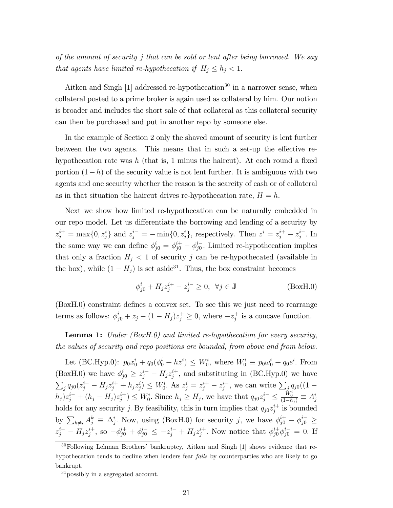of the amount of security j that can be sold or lent after being borrowed. We say that agents have limited re-hypothecation if  $H_j \le h_j < 1$ .

Aitken and Singh  $[1]$  addressed re-hypothecation<sup>30</sup> in a narrower sense, when collateral posted to a prime broker is again used as collateral by him. Our notion is broader and includes the short sale of that collateral as this collateral security can then be purchased and put in another repo by someone else.

In the example of Section 2 only the shaved amount of security is lent further between the two agents. This means that in such a set-up the effective rehypothecation rate was  $h$  (that is, 1 minus the haircut). At each round a fixed portion  $(1-h)$  of the security value is not lent further. It is ambiguous with two agents and one security whether the reason is the scarcity of cash or of collateral as in that situation the haircut drives re-hypothecation rate,  $H = h$ .

Next we show how limited re-hypothecation can be naturally embedded in our repo model. Let us differentiate the borrowing and lending of a security by  $z_j^{i+} = \max\{0, z_j^{i}\}\$ and  $z_j^{i-} = -\min\{0, z_j^{i}\}\$ , respectively. Then  $z^i = z_j^{i+} - z_j^{i-}$ . In the same way we can define  $\phi_{j0}^i = \phi_{j0}^{i+} - \phi_{j0}^{i-}$ . Limited re-hypothecation implies that only a fraction  $H_j < 1$  of security j can be re-hypothecated (available in the box), while  $(1 - H_j)$  is set aside<sup>31</sup>. Thus, the box constraint becomes

$$
\phi_{j0}^i + H_j z_j^{i+} - z_j^{i-} \ge 0, \ \forall j \in \mathbf{J}
$$
 (BoxH.0)

 $(BoxH.0)$  constraint defines a convex set. To see this we just need to rearrange terms as follows:  $\phi_{j0}^i + z_j - (1 - H_j)z_j^+ \geq 0$ , where  $-z_j^+$  $j^+$  is a concave function.

**Lemma 1:** Under  $(BoxH.0)$  and limited re-hypothecation for every security, the values of security and repo positions are bounded, from above and from below.

Let (BC.Hyp.0):  $p_0 x_0^i + q_0 (\phi_0^i + h z^i) \leq W_0^i$ , where  $W_0^i \equiv p_0 \omega_0^i + q_0 e^i$ . From (BoxH.0) we have  $\phi_{j0}^{i} \ge z_j^{i-} - H_j z_j^{i+}$  $j^{i+}$ , and substituting in (BC.Hyp.0) we have  $\sum_{j} q_{j0}(z_j^{i-} - H_j z_j^{i+} + h_j z_j^{i}) \leq W_0^i$ . As  $z_j^{i} = z_j^{i+} - z_j^{i-}$ , we can write  $\sum_{j} q_{j0}((1 (h_j)z_j^{i-} + (h_j - H_j)z_j^{i+}$  $j^{(i+1)}$   $\leq W_0^i$ . Since  $h_j \geq H_j$ , we have that  $q_{j0}z_j^{i-} \leq$  $\frac{\tilde{W}_0^i}{(1-h_j)} \equiv A_j^i$ holds for any security j. By feasibility, this in turn implies that  $q_{j0}z_i^{i+1}$  $j^{i+}$  is bounded by  $\sum_{k\neq i} A_j^k \equiv \Delta_j^i$ . Now, using (BoxH.0) for security j, we have  $\phi_{j0}^{i+} - \phi_{j0}^{i-} \ge$  $z_j^{i-} - H_j z_j^{i+}$  $j^{i+}$ , so  $-\phi_{j0}^{i+} + \phi_{j0}^{i-} \leq -z_j^{i-} + H_j z_j^{i+}$  $j^{i+}$ . Now notice that  $\phi_{j0}^{i+} \phi_{j0}^{i-} = 0$ . If

 $30$ Following Lehman Brothers' bankruptcy, Aitken and Singh [1] shows evidence that rehypothecation tends to decline when lenders fear fails by counterparties who are likely to go bankrupt.

<sup>&</sup>lt;sup>31</sup> possibly in a segregated account.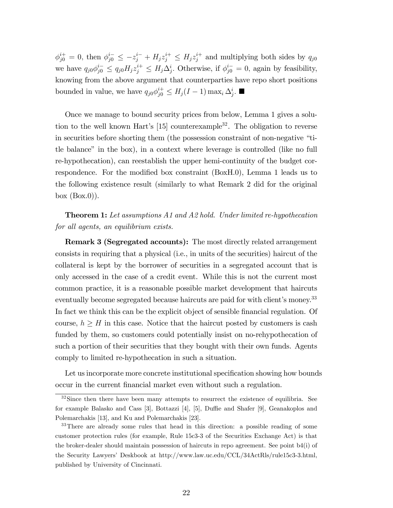$\phi_{j0}^{i+} = 0$ , then  $\phi_{j0}^{i-} \leq -z_j^{i-} + H_j z_j^{i+} \leq H_j z_j^{i+}$  $j_j^{i+}$  and multiplying both sides by  $q_{j0}$ we have  $q_{j0}\phi_{j0}^{i-} \leq q_{j0}H_jz_j^{i+} \leq H_j\Delta_j^i$ . Otherwise, if  $\phi_{j0}^{i-} = 0$ , again by feasibility, knowing from the above argument that counterparties have repo short positions bounded in value, we have  $q_{j0}\phi_{j0}^{i+} \leq H_j(I-1) \max_i \Delta_j^i$ .

Once we manage to bound security prices from below, Lemma 1 gives a solution to the well known Hart's  $[15]$  counterexample<sup>32</sup>. The obligation to reverse in securities before shorting them (the possession constraint of non-negative "title balanceî in the box), in a context where leverage is controlled (like no full re-hypothecation), can reestablish the upper hemi-continuity of the budget correspondence. For the modified box constraint  $(BoxH.0)$ , Lemma 1 leads us to the following existence result (similarly to what Remark 2 did for the original box  $(Box.0)$ .

Theorem 1: Let assumptions A1 and A2 hold. Under limited re-hypothecation for all agents, an equilibrium exists.

Remark 3 (Segregated accounts): The most directly related arrangement consists in requiring that a physical (i.e., in units of the securities) haircut of the collateral is kept by the borrower of securities in a segregated account that is only accessed in the case of a credit event. While this is not the current most common practice, it is a reasonable possible market development that haircuts eventually become segregated because haircuts are paid for with client's money.<sup>33</sup> In fact we think this can be the explicit object of sensible financial regulation. Of course,  $h \geq H$  in this case. Notice that the haircut posted by customers is cash funded by them, so customers could potentially insist on no-rehypothecation of such a portion of their securities that they bought with their own funds. Agents comply to limited re-hypothecation in such a situation.

Let us incorporate more concrete institutional specification showing how bounds occur in the current Önancial market even without such a regulation.

<sup>&</sup>lt;sup>32</sup>Since then there have been many attempts to resurrect the existence of equilibria. See for example Balasko and Cass [3], Bottazzi [4], [5], Duffie and Shafer [9], Geanakoplos and Polemarchakis [13], and Ku and Polemarchakis [23].

<sup>&</sup>lt;sup>33</sup>There are already some rules that head in this direction: a possible reading of some customer protection rules (for example, Rule 15c3-3 of the Securities Exchange Act) is that the broker-dealer should maintain possession of haircuts in repo agreement. See point b4(i) of the Security Lawyersí Deskbook at http://www.law.uc.edu/CCL/34ActRls/rule15c3-3.html, published by University of Cincinnati.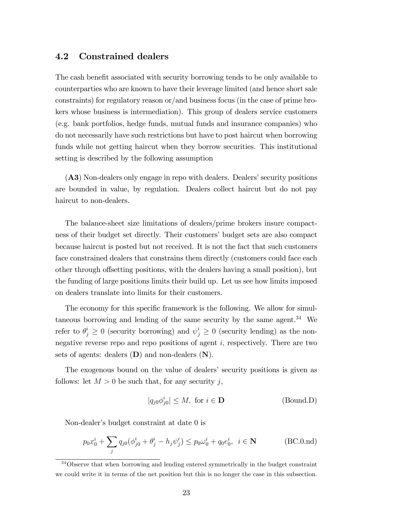### 4.2 Constrained dealers

The cash benefit associated with security borrowing tends to be only available to counterparties who are known to have their leverage limited (and hence short sale constraints) for regulatory reason or/and business focus (in the case of prime brokers whose business is intermediation). This group of dealers service customers (e.g. bank portfolios, hedge funds, mutual funds and insurance companies) who do not necessarily have such restrictions but have to post haircut when borrowing funds while not getting haircut when they borrow securities. This institutional setting is described by the following assumption

(A3) Non-dealers only engage in repo with dealers. Dealers' security positions are bounded in value, by regulation. Dealers collect haircut but do not pay haircut to non-dealers.

The balance-sheet size limitations of dealers/prime brokers insure compactness of their budget set directly. Their customersíbudget sets are also compact because haircut is posted but not received. It is not the fact that such customers face constrained dealers that constrains them directly (customers could face each other through offsetting positions, with the dealers having a small position), but the funding of large positions limits their build up. Let us see how limits imposed on dealers translate into limits for their customers.

The economy for this specific framework is the following. We allow for simultaneous borrowing and lending of the same security by the same agent.<sup>34</sup> We refer to  $\theta_j^i \geq 0$  (security borrowing) and  $\psi_j^i \geq 0$  (security lending) as the nonnegative reverse repo and repo positions of agent  $i$ , respectively. There are two sets of agents: dealers  $(D)$  and non-dealers  $(N)$ .

The exogenous bound on the value of dealers' security positions is given as follows: let  $M > 0$  be such that, for any security j,

$$
|q_{j0}\phi_{j0}^i| \le M, \text{ for } i \in \mathbf{D}
$$
 (Bound.D)

Non-dealer's budget constraint at date 0 is

$$
p_0 x_0^i + \sum_j q_{j0} (\phi_{j0}^i + \theta_j^i - h_j \psi_j^i) \le p_0 \omega_0^i + q_0 e_0^i, \ i \in \mathbb{N}
$$
 (BC.0.nd)

<sup>&</sup>lt;sup>34</sup>Observe that when borrowing and lending entered symmetrically in the budget constraint we could write it in terms of the net position but this is no longer the case in this subsection.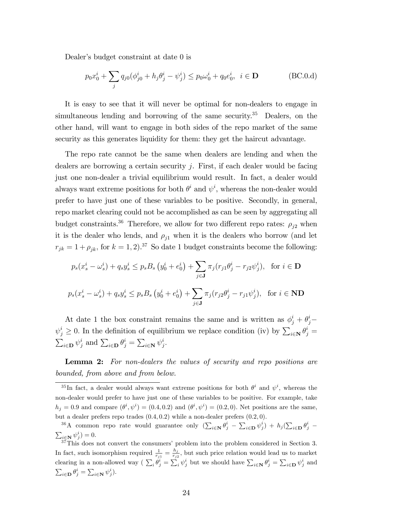Dealer's budget constraint at date 0 is

$$
p_0 x_0^i + \sum_j q_{j0} (\phi_{j0}^i + h_j \theta_j^i - \psi_j^i) \le p_0 \omega_0^i + q_0 e_0^i, \ i \in \mathbf{D}
$$
 (BC.0.d)

It is easy to see that it will never be optimal for non-dealers to engage in simultaneous lending and borrowing of the same security.<sup>35</sup> Dealers, on the other hand, will want to engage in both sides of the repo market of the same security as this generates liquidity for them: they get the haircut advantage.

The repo rate cannot be the same when dealers are lending and when the dealers are borrowing a certain security j. First, if each dealer would be facing just one non-dealer a trivial equilibrium would result. In fact, a dealer would always want extreme positions for both  $\theta^i$  and  $\psi^i$ , whereas the non-dealer would prefer to have just one of these variables to be positive. Secondly, in general, repo market clearing could not be accomplished as can be seen by aggregating all budget constraints.<sup>36</sup> Therefore, we allow for two different repo rates:  $\rho_{j2}$  when it is the dealer who lends, and  $\rho_{i1}$  when it is the dealers who borrow (and let  $r_{jk} = 1 + \rho_{jk}$ , for  $k = 1, 2$ .<sup>37</sup> So date 1 budget constraints become the following:

$$
p_s(x_s^i - \omega_s^i) + q_s y_s^i \le p_s B_s (y_0^i + e_0^i) + \sum_{j \in \mathbf{J}} \pi_j (r_{j1} \theta_j^i - r_{j2} \psi_j^i), \text{ for } i \in \mathbf{D}
$$
  

$$
p_s(x_s^i - \omega_s^i) + q_s y_s^i \le p_s B_s (y_0^i + e_0^i) + \sum_{j \in \mathbf{J}} \pi_j (r_{j2} \theta_j^i - r_{j1} \psi_j^i), \text{ for } i \in \mathbf{ND}
$$

At date 1 the box constraint remains the same and is written as  $\phi_j^i + \theta_j^i$  $\psi_j^i \geq 0$ . In the definition of equilibrium we replace condition (iv) by  $\sum_{i \in \mathbf{N}} \theta_j^i =$  $\sum_{i \in \mathbf{D}} \psi_j^i$  and  $\sum_{i \in \mathbf{D}} \theta_j^i = \sum_{i \in \mathbf{N}} \psi_j^i$  $\frac{\imath}{j}.$ 

Lemma 2: For non-dealers the values of security and repo positions are bounded, from above and from below.

<sup>&</sup>lt;sup>35</sup>In fact, a dealer would always want extreme positions for both  $\theta^i$  and  $\psi^i$ , whereas the non-dealer would prefer to have just one of these variables to be positive. For example, take  $h_j = 0.9$  and compare  $(\theta^i, \psi^i) = (0.4, 0.2)$  and  $(\theta^i, \psi^i) = (0.2, 0)$ . Net positions are the same, but a dealer prefers repo trades  $(0.4, 0.2)$  while a non-dealer prefers  $(0.2, 0)$ .

<sup>&</sup>lt;sup>36</sup>A common repo rate would guarantee only  $(\sum_{i\in\mathbf{N}} \theta_j^i - \sum_{i\in\mathbf{D}} \psi_j^i) + h_j(\sum_{i\in\mathbf{D}} \theta_j^i)$ A common repo rate would guarantee only  $(\sum_{i\in \mathbb{N}} \theta_i - \sum_{i\in \mathbb{D}} \psi_i) + h_j(\sum_{i\in \mathbb{D}} \theta_i - \sum_{i\in \mathbb{N}} \psi_i^i) = 0.$ 

 $37$ This does not convert the consumers' problem into the problem considered in Section 3. In fact, such isomorphism required  $\frac{1}{r_{j1}} = \frac{h_j}{r_{j2}}$  $\frac{n_j}{r_{j2}}$ , but such price relation would lead us to market clearing in a non-allowed way ( $\sum_i \theta_j^i = \sum_i \psi_j^i$  but we should have  $\sum_{i \in \mathbf{N}} \theta_j^i = \sum_{i \in \mathbf{D}} \psi_j^i$  and  $\sum_{i\in \mathbf{D}} \theta_j^i = \sum_{i\in \mathbf{N}} \psi_j^i$ .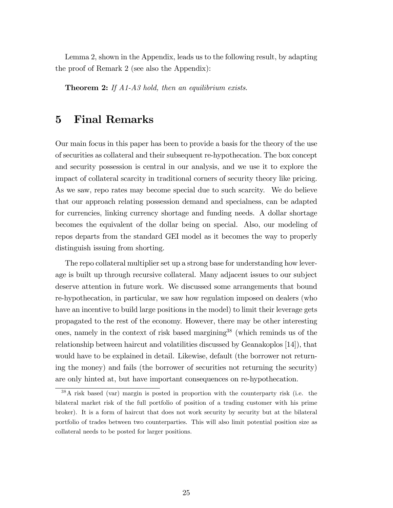Lemma 2, shown in the Appendix, leads us to the following result, by adapting the proof of Remark 2 (see also the Appendix):

Theorem 2: If A1-A3 hold, then an equilibrium exists.

# 5 Final Remarks

Our main focus in this paper has been to provide a basis for the theory of the use of securities as collateral and their subsequent re-hypothecation. The box concept and security possession is central in our analysis, and we use it to explore the impact of collateral scarcity in traditional corners of security theory like pricing. As we saw, repo rates may become special due to such scarcity. We do believe that our approach relating possession demand and specialness, can be adapted for currencies, linking currency shortage and funding needs. A dollar shortage becomes the equivalent of the dollar being on special. Also, our modeling of repos departs from the standard GEI model as it becomes the way to properly distinguish issuing from shorting.

The repo collateral multiplier set up a strong base for understanding how leverage is built up through recursive collateral. Many adjacent issues to our subject deserve attention in future work. We discussed some arrangements that bound re-hypothecation, in particular, we saw how regulation imposed on dealers (who have an incentive to build large positions in the model) to limit their leverage gets propagated to the rest of the economy. However, there may be other interesting ones, namely in the context of risk based margining<sup>38</sup> (which reminds us of the relationship between haircut and volatilities discussed by Geanakoplos [14]), that would have to be explained in detail. Likewise, default (the borrower not returning the money) and fails (the borrower of securities not returning the security) are only hinted at, but have important consequences on re-hypothecation.

<sup>38</sup>A risk based (var) margin is posted in proportion with the counterparty risk (i.e. the bilateral market risk of the full portfolio of position of a trading customer with his prime broker). It is a form of haircut that does not work security by security but at the bilateral portfolio of trades between two counterparties. This will also limit potential position size as collateral needs to be posted for larger positions.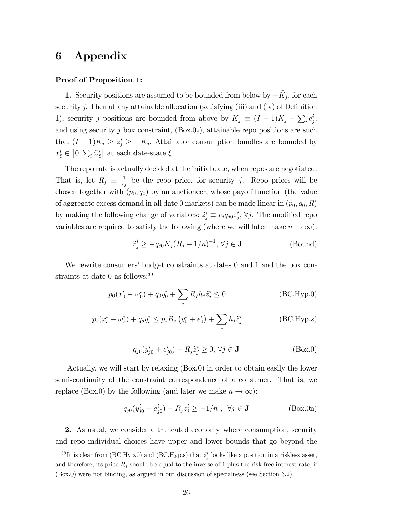# 6 Appendix

#### Proof of Proposition 1:

**1.** Security positions are assumed to be bounded from below by  $-\tilde{K}_j$ , for each security *j*. Then at any attainable allocation (satisfying (iii) and (iv) of Definition 1), security j positions are bounded from above by  $K_j \equiv (I-1)\tilde{K}_j + \sum_i e_j^i$ , and using security j box constraint,  $(Box.0<sub>j</sub>)$ , attainable repo positions are such that  $(I-1)K_j \geq z_j^i \geq -K_j$ . Attainable consumption bundles are bounded by  $x_{\xi}^{i} \in [0, \sum_{i} \tilde{\omega}_{\xi}^{i}]$  at each date-state  $\xi$ .

The repo rate is actually decided at the initial date, when repos are negotiated. That is, let  $R_j \equiv \frac{1}{r_j}$  $\frac{1}{r_j}$  be the repo price, for security j. Repo prices will be chosen together with  $(p_0, q_0)$  by an auctioneer, whose payoff function (the value of aggregate excess demand in all date 0 markets) can be made linear in  $(p_0, q_0, R)$ by making the following change of variables:  $\tilde{z}^i_j \equiv r_j q_{j0} z^i_j$ ,  $\forall j$ . The modified repo variables are required to satisfy the following (where we will later make  $n \to \infty$ ):

$$
\tilde{z}_j^i \ge -q_{j0} K_j (R_j + 1/n)^{-1}, \forall j \in \mathbf{J}
$$
 (Bound)

We rewrite consumers' budget constraints at dates 0 and 1 and the box constraints at date 0 as follows:<sup>39</sup>

$$
p_0(x_0^i - \omega_0^i) + q_0 y_0^i + \sum_j R_j h_j \tilde{z}_j^i \le 0
$$
 (BC.Hyp.0)

$$
p_s(x_s^i - \omega_s^i) + q_s y_s^i \le p_s B_s \left(y_0^i + e_0^i\right) + \sum_j h_j \tilde{z}_j^i \tag{BC.Hyp.s}
$$

$$
q_{j0}(y_{j0}^i + e_{j0}^i) + R_j \tilde{z}_j^i \ge 0, \forall j \in \mathbf{J}
$$
 (Box.0)

Actually, we will start by relaxing (Box.0) in order to obtain easily the lower semi-continuity of the constraint correspondence of a consumer. That is, we replace (Box.0) by the following (and later we make  $n \to \infty$ ):

$$
q_{j0}(y_{j0}^i + e_{j0}^i) + R_j \tilde{z}_j^i \ge -1/n \ , \ \ \forall j \in \mathbf{J}
$$
 (Box.0n)

2. As usual, we consider a truncated economy where consumption, security and repo individual choices have upper and lower bounds that go beyond the

<sup>&</sup>lt;sup>39</sup>It is clear from (BC.Hyp.0) and (BC.Hyp.s) that  $\tilde{z}^i_j$  looks like a position in a riskless asset, and therefore, its price  $R_j$  should be equal to the inverse of 1 plus the risk free interest rate, if (Box.0) were not binding, as argued in our discussion of specialness (see Section 3.2).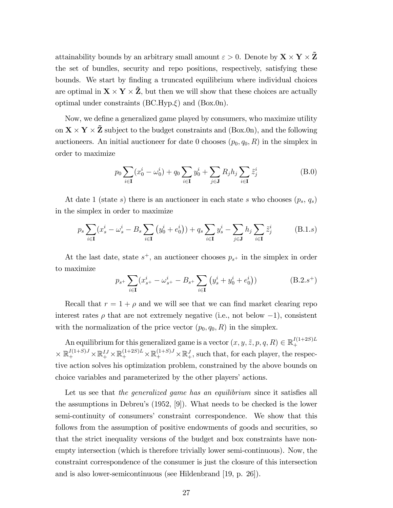attainability bounds by an arbitrary small amount  $\varepsilon > 0$ . Denote by  $\mathbf{X} \times \mathbf{Y} \times \mathbf{Z}$ the set of bundles, security and repo positions, respectively, satisfying these bounds. We start by Önding a truncated equilibrium where individual choices are optimal in  $\mathbf{X} \times \mathbf{Y} \times \mathbf{Z}$ , but then we will show that these choices are actually optimal under constraints  $(BC.Hyp.\xi)$  and  $(Box.0n)$ .

Now, we define a generalized game played by consumers, who maximize utility on  $\mathbf{X} \times \mathbf{Y} \times \mathbf{Z}$  subject to the budget constraints and (Box.0n), and the following auctioneers. An initial auctioneer for date 0 chooses  $(p_0, q_0, R)$  in the simplex in order to maximize

$$
p_0 \sum_{i \in \mathbf{I}} (x_0^i - \omega_0^i) + q_0 \sum_{i \in \mathbf{I}} y_0^i + \sum_{j \in \mathbf{J}} R_j h_j \sum_{i \in \mathbf{I}} \tilde{z}_j^i
$$
 (B.0)

At date 1 (state s) there is an auctioneer in each state s who chooses  $(p_s, q_s)$ in the simplex in order to maximize

$$
p_s \sum_{i \in \mathbf{I}} (x_s^i - \omega_s^i - B_s \sum_{i \in \mathbf{I}} (y_0^i + e_0^i)) + q_s \sum_{i \in \mathbf{I}} y_s^i - \sum_{j \in \mathbf{J}} h_j \sum_{i \in \mathbf{I}} \tilde{z}_j^i
$$
 (B.1.s)

At the last date, state  $s^+$ , an auctioneer chooses  $p_{s^+}$  in the simplex in order to maximize

$$
p_{s^{+}} \sum_{i \in \mathbf{I}} (x_{s^{+}}^{i} - \omega_{s^{+}}^{i} - B_{s^{+}} \sum_{i \in \mathbf{I}} (y_{s}^{i} + y_{0}^{i} + e_{0}^{i}))
$$
 (B.2. s<sup>+</sup>)

Recall that  $r = 1 + \rho$  and we will see that we can find market clearing repo interest rates  $\rho$  that are not extremely negative (i.e., not below  $-1$ ), consistent with the normalization of the price vector  $(p_0, q_0, R)$  in the simplex.

An equilibrium for this generalized game is a vector  $(x, y, \tilde{z}, p, q, R) \in \mathbb{R}_+^{I(1+2S)L}$ +  $\times \mathbb{R}^{I(1+S)J}_{+} \times \mathbb{R}^{I J}_{+} \times \mathbb{R}^{(1+2S)L}_{+} \times \mathbb{R}^{(1+S)J}_{+} \times \mathbb{R}^{J}_{+}$ , such that, for each player, the respective action solves his optimization problem, constrained by the above bounds on choice variables and parameterized by the other players' actions.

Let us see that the generalized game has an equilibrium since it satisfies all the assumptions in Debreuís (1952, [9]). What needs to be checked is the lower semi-continuity of consumers' constraint correspondence. We show that this follows from the assumption of positive endowments of goods and securities, so that the strict inequality versions of the budget and box constraints have nonempty intersection (which is therefore trivially lower semi-continuous). Now, the constraint correspondence of the consumer is just the closure of this intersection and is also lower-semicontinuous (see Hildenbrand [19, p. 26]).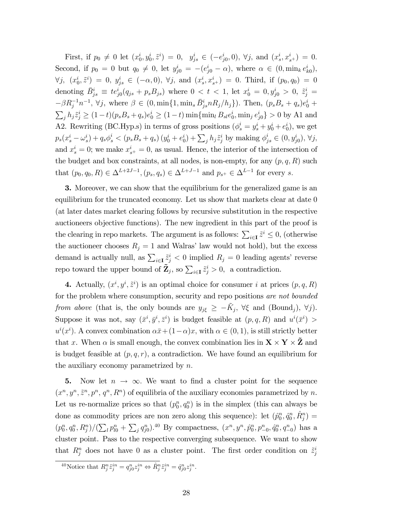First, if  $p_0 \neq 0$  let  $(x_0^i, y_0^i, \tilde{z}^i) = 0$ ,  $y_{js}^i \in (-e_{j0}^i, 0)$ ,  $\forall j$ , and  $(x_s^i, x_{s+}^i) = 0$ . Second, if  $p_0 = 0$  but  $q_0 \neq 0$ , let  $y_{j0}^i = -(e_{j0}^i - \alpha)$ , where  $\alpha \in (0, \min_k e_{k0}^i)$ ,  $\forall j, (x_0^i, \tilde{z}^i) = 0, y_{js}^i \in (-\alpha, 0), \forall j, \text{ and } (x_s^i, x_{s^+}^i) = 0. \text{ Third, if } (p_0, q_0) = 0$ denoting  $\bar{B}_{js}^i \equiv te_{j0}^i(q_{js} + p_s B_{js})$  where  $0 < t < 1$ , let  $x_0^i = 0, y_{j0}^i > 0, \tilde{z}_j^i =$  $-\beta R_j^{-1}n^{-1}$ ,  $\forall j$ , where  $\beta \in (0, \min\{1, \min_s \bar{B}_{js}^i nR_j/h_j\})$ . Then,  $(p_s B_s + q_s)e_0^i$  +  $\sum_j h_j \tilde{z}_j^i \geq (1-t)(p_s B_s + q_s)e_0^i \geq (1-t) \min\{\min_l B_{sl}e_0^i, \min_j e_{j0}^i\} > 0$  by A1 and A2. Rewriting (BC.Hyp.s) in terms of gross positions  $(\phi_s^i = y_s^i + y_0^i + e_0^i)$ , we get  $p_s(x_s^i - \omega_s^i) + q_s \phi_s^i < (p_s B_s + q_s) (y_0^i + e_0^i) + \sum_j h_j \tilde{z}_j^i$  by making  $\phi_{js}^i \in (0, y_{j0}^i), \forall j$ , and  $x_s^i = 0$ ; we make  $x_{s^+}^i = 0$ , as usual. Hence, the interior of the intersection of the budget and box constraints, at all nodes, is non-empty, for any  $(p, q, R)$  such that  $(p_0, q_0, R) \in \Delta^{L+2J-1}$ ,  $(p_s, q_s) \in \Delta^{L+J-1}$  and  $p_{s+} \in \Delta^{L-1}$  for every s.

3. Moreover, we can show that the equilibrium for the generalized game is an equilibrium for the truncated economy. Let us show that markets clear at date 0 (at later dates market clearing follows by recursive substitution in the respective auctioneers objective functions). The new ingredient in this part of the proof is the clearing in repo markets. The argument is as follows:  $\sum_{i\in I} \tilde{z}^i \leq 0$ , (otherwise the auctioneer chooses  $R_j = 1$  and Walras' law would not hold), but the excess demand is actually null, as  $\sum_{i\in I}\tilde{z}^i_j < 0$  implied  $R_j = 0$  leading agents' reverse repo toward the upper bound of  $\tilde{\mathbf{Z}}_j$ , so  $\sum_{i\in \mathbf{I}} \tilde{z}_j^i > 0$ , a contradiction.

**4.** Actually,  $(x^i, y^i, \tilde{z}^i)$  is an optimal choice for consumer i at prices  $(p, q, R)$ for the problem where consumption, security and repo positions are not bounded from above (that is, the only bounds are  $y_{j\xi} \geq -\tilde{K}_j$ ,  $\forall \xi$  and (Bound<sub>j</sub>),  $\forall j$ ). Suppose it was not, say  $(\bar{x}^i, \bar{y}^i, \bar{z}^i)$  is budget feasible at  $(p, q, R)$  and  $u^i(\bar{x}^i)$  >  $u^{i}(x^{i})$ . A convex combination  $\alpha \bar{x} + (1 - \alpha)x$ , with  $\alpha \in (0, 1)$ , is still strictly better that x. When  $\alpha$  is small enough, the convex combination lies in  $\mathbf{X} \times \mathbf{Y} \times \mathbf{Z}$  and is budget feasible at  $(p, q, r)$ , a contradiction. We have found an equilibrium for the auxiliary economy parametrized by  $n$ .

5. Now let  $n \to \infty$ . We want to find a cluster point for the sequence  $(x^n, y^n, \tilde{z}^n, p^n, q^n, R^n)$  of equilibria of the auxiliary economies parametrized by n. Let us re-normalize prices so that  $(p_0^n, q_0^n)$  is in the simplex (this can always be done as commodity prices are non zero along this sequence): let  $(\hat{p}_0^n, \hat{q}_0^n, \hat{R}_j^n)$  $(p_0^n, q_0^n, R_j^n)/(\sum_l p_{l0}^n + \sum_j q_{j0}^n)$ .<sup>40</sup> By compactness,  $(x^n, y^n, \hat{p}_0^n, p_{-0}^n, \hat{q}_0^n, q_{-0}^n)$  has a cluster point. Pass to the respective converging subsequence. We want to show that  $R_j^n$  does not have 0 as a cluster point. The first order condition on  $\tilde{z}_j^i$ 

<sup>40</sup>Notice that  $R_j^n \tilde{z}_j^{in} = q_{j0}^n z_j^{in} \Leftrightarrow \hat{R}_j^n \tilde{z}_j^{in} = \hat{q}_{j0}^n z_j^{in}$ .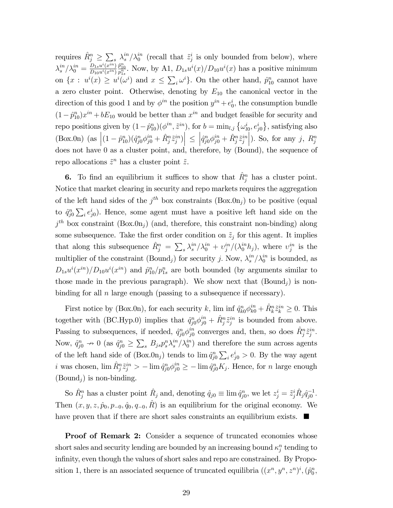requires  $\hat{R}^n_j \geq \sum_s \lambda^{in}_s$  $\int_s^{in} / \lambda_0^{in}$  (recall that  $\tilde{z}_j^i$  is only bounded from below), where  $\lambda^{in}_s$  $\frac{sin}{s}/\lambda_0^{in} = \frac{D_{1s}u^i(x^{in})}{D_{10}u^i(x^{in})}$  $\overline{D_1{}_{0}u^i(x^{in})}$  $\frac{\hat{p}_{10}^n}{p_{1s}^n}$ . Now, by A1,  $D_{1s}u^i(x)/D_{10}u^i(x)$  has a positive minimum on  $\{x : u^i(x) \geq u^i(\omega^i) \text{ and } x \leq \sum_i \omega^i\}.$  On the other hand,  $\hat{p}^n_{10}$  cannot have a zero cluster point. Otherwise, denoting by  $E_{10}$  the canonical vector in the direction of this good 1 and by  $\phi^{in}$  the position  $y^{in} + e_0^i$ , the consumption bundle  $(1 - \hat{p}_{10}^n)x^{in} + bE_{10}$  would be better than  $x^{in}$  and budget feasible for security and repo positions given by  $(1-\hat{p}_{10}^n)(\phi^{in}, \tilde{z}^{in})$ , for  $b = \min_{l,j} \{ \omega_{l0}^i, e_{j0}^i \}$ , satisfying also  $(\text{Box}.0n)$   $\left( \text{as} \left| (1 - \hat{p}_{10}^n)(\hat{q}_{j0}^n \phi_{j0}^{in} + \hat{R}_j^n \tilde{z}_j^{in}) \right| \leq$  $\Big| \hat{q}_{j0}^n \phi_{j0}^{in} + \hat{R}^n_j \tilde{z}^{in}_j$ ). So, for any j,  $R_j^n$ does not have 0 as a cluster point, and, therefore, by (Bound), the sequence of repo allocations  $\tilde{z}^n$  has a cluster point  $\tilde{z}$ .

**6.** To find an equilibrium it suffices to show that  $\hat{R}^n_j$  has a cluster point. Notice that market clearing in security and repo markets requires the aggregation of the left hand sides of the  $j<sup>th</sup>$  box constraints  $(Box.0n<sub>j</sub>)$  to be positive (equal to  $\hat{q}_{j0}^n \sum_i e_{j0}^i$ ). Hence, some agent must have a positive left hand side on the  $j<sup>th</sup>$  box constraint  $(Box.0n<sub>j</sub>)$  (and, therefore, this constraint non-binding) along some subsequence. Take the first order condition on  $\tilde{z}_j$  for this agent. It implies that along this subsequence  $\hat{R}^n_j = \sum_s \lambda_s^{in}$  $\frac{sin}{s}/\lambda_0^{in} + \frac{v_j^{in}}{\lambda_0^{in}}h_j$ , where  $v_j^{in}$  is the multiplier of the constraint (Bound<sub>j</sub>) for security j. Now,  $\lambda_s^{in}$  $\frac{in}{s}/\lambda_0^{in}$  is bounded, as  $D_{1s}u^{i}(x^{in})/D_{10}u^{i}(x^{in})$  and  $\hat{p}_{10}^{n}/p_{1s}^{n}$  are both bounded (by arguments similar to those made in the previous paragraph). We show next that  $(Bound<sub>i</sub>)$  is nonbinding for all  $n$  large enough (passing to a subsequence if necessary).

First notice by (Box.0n), for each security k,  $\liminf \hat{q}_{k0}^n \phi_{k0}^{in} + \hat{R}_k^n \tilde{z}_k^{in} \ge 0$ . This together with (BC.Hyp.0) implies that  $\hat{q}_{j0}^n \phi_{j0}^{in} + \hat{R}_j^n \tilde{z}_j^{in}$  is bounded from above. Passing to subsequences, if needed,  $\hat{q}_{j0}^n \phi_{j0}^{in}$  $_{j0}^{in}$  converges and, then, so does  $\hat{R}_{j}^{n}\tilde{z}_{j}^{in}$ . Now,  $\hat{q}_{j0}^n \nrightarrow 0$  (as  $\hat{q}_{j0}^n \ge \sum_s B_{js} p_s^n \lambda_s^{in}$  $\int_s^{in}/\lambda_0^{in}$  and therefore the sum across agents of the left hand side of  $(Box.0n_j)$  tends to  $\lim \hat{q}_{j0}^n \sum_i e_{j0}^i > 0$ . By the way agent *i* was chosen,  $\lim \hat{R}^n_j \tilde{z}^{in}_j > -\lim \hat{q}^n_{j0} \phi^{in}_{j0} \ge -\lim \hat{q}^n_{j0} K_j$ . Hence, for *n* large enough  $(Bound<sub>i</sub>)$  is non-binding.

So  $\hat{R}^n_j$  has a cluster point  $\hat{R}_j$  and, denoting  $\hat{q}_{j0} \equiv \lim \hat{q}^n_{j0}$ , we let  $z^i_j = \tilde{z}^i_j \hat{R}_j \hat{q}^{-1}_{j0}$ . Then  $(x, y, z, \hat{p}_0, p_{-0}, \hat{q}_0, q_{-0}, R)$  is an equilibrium for the original economy. We have proven that if there are short sales constraints an equilibrium exists.  $\blacksquare$ 

**Proof of Remark 2:** Consider a sequence of truncated economies whose short sales and security lending are bounded by an increasing bound  $\kappa_j^n$  tending to infinity, even though the values of short sales and repo are constrained. By Proposition 1, there is an associated sequence of truncated equilibria  $((x^n, y^n, z^n)^i, (\hat{p}_0^n,$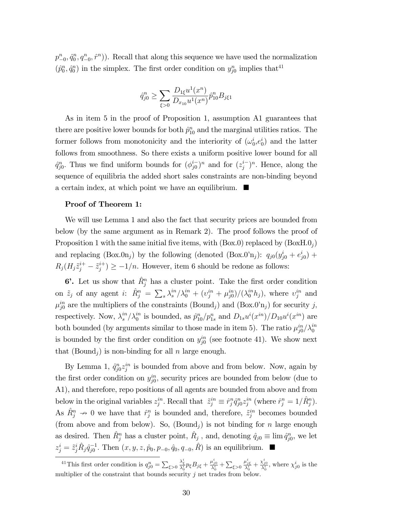$p_{-0}^n, \hat{q}_0^n, q_{-0}^n, \hat{r}^n)$ ). Recall that along this sequence we have used the normalization  $(\hat{p}_0^n, \hat{q}_0^n)$  in the simplex. The first order condition on  $y_{j0}^n$  implies that<sup>41</sup>

$$
\hat{q}_{j0}^n \ge \sum_{\xi > 0} \frac{D_{1\xi} u^1(x^n)}{D_{x_{10}} u^1(x^n)} \hat{p}_{10}^n B_{j\xi 1}
$$

As in item 5 in the proof of Proposition 1, assumption A1 guarantees that there are positive lower bounds for both  $\hat{p}_{10}^n$  and the marginal utilities ratios. The former follows from monotonicity and the interiority of  $(\omega_0^i, e_0^i)$  and the latter follows from smoothness. So there exists a uniform positive lower bound for all  $\hat{q}_{j0}^n$ . Thus we find uniform bounds for  $(\phi_{j0}^{i-})^n$  and for  $(z_j^{i-})^n$ . Hence, along the sequence of equilibria the added short sales constraints are non-binding beyond a certain index, at which point we have an equilibrium.  $\blacksquare$ 

#### Proof of Theorem 1:

We will use Lemma 1 and also the fact that security prices are bounded from below (by the same argument as in Remark 2). The proof follows the proof of Proposition 1 with the same initial five items, with  $(Box.0)$  replaced by  $(BoxH.0<sub>j</sub>)$ and replacing (Box.0n<sub>j</sub>) by the following (denoted  $(Box.0n_j)$ :  $q_{j0}(y_{j0}^i + e_{j0}^i)$  +  $R_j (H_j \tilde{z}_j^{i+} - \tilde{z}_j^{i+}$  $j^{(i+1)} \geq -1/n$ . However, item 6 should be redone as follows:

6<sup>'</sup>. Let us show that  $\hat{R}^n_j$  has a cluster point. Take the first order condition on  $\tilde{z}_j$  of any agent i:  $\hat{R}^n_j = \sum_s \lambda^{in}_s$  $s^{in}_{s}/\lambda_{0}^{in} + (v_{j}^{in} + \mu_{j0}^{in})/(\lambda_{0}^{in}h_{j}),$  where  $v_{j}^{in}$  and  $\mu_{j0}^{in}$  are the multipliers of the constraints (Bound<sub>j</sub>) and (Box.0'n<sub>j</sub>) for security j, respectively. Now,  $\lambda_s^{in}$  $\sum_{s}^{in} / \lambda_0^{in}$  is bounded, as  $\hat{p}_{10}^n / p_{1s}^n$  and  $D_{1s}u^i(x^{in}) / D_{10}u^i(x^{in})$  are both bounded (by arguments similar to those made in item 5). The ratio  $\mu_{j0}^{in}/\lambda_0^{in}$ is bounded by the first order condition on  $y_{j0}^{in}$  (see footnote 41). We show next that  $(Bound<sub>i</sub>)$  is non-binding for all n large enough.

By Lemma 1,  $\hat{q}_{j0}^n z_j^{in}$  is bounded from above and from below. Now, again by the first order condition on  $y_{j0}^{in}$ , security prices are bounded from below (due to A1), and therefore, repo positions of all agents are bounded from above and from below in the original variables  $z_j^{in}$ . Recall that  $\tilde{z}_j^{in} \equiv \hat{r}_j^n \hat{q}_{j0}^n z_j^{in}$  (where  $\hat{r}_j^n = 1/\hat{R}_j^n$ ). As  $\hat{R}^n_j \nightharpoonup 0$  we have that  $\hat{r}^n_j$  is bounded and, therefore,  $\tilde{z}^{\text{in}}_j$  becomes bounded (from above and from below). So,  $(Bound<sub>j</sub>)$  is not binding for *n* large enough as desired. Then  $\hat{R}^n_j$  has a cluster point,  $\hat{R}_j$ , and, denoting  $\hat{q}_{j0} \equiv \lim \hat{q}^n_{j0}$ , we let  $z_j^i = \tilde{z}_j^i \hat{R}_j \hat{q}_{j0}^{-1}$ . Then  $(x, y, z, \hat{p}_0, p_{-0}, \hat{q}_0, q_{-0}, \hat{R})$  is an equilibrium.

<sup>&</sup>lt;sup>41</sup>This first order condition is  $q_{j0}^n = \sum_{\xi>0}$  $\frac{\lambda_{\xi}^i}{\lambda_0^i} p_{\xi} B_{j\xi} + \frac{\mu_{j0}^i}{\lambda_0^i} + \sum_{\xi>0}$  $\frac{\mu^i_{j\xi}}{\lambda^i_0} + \frac{\chi^i_{j0}}{\lambda^i_0}$ , where  $\chi^i_{j0}$  is the multiplier of the constraint that bounds security  $j$  net trades from below.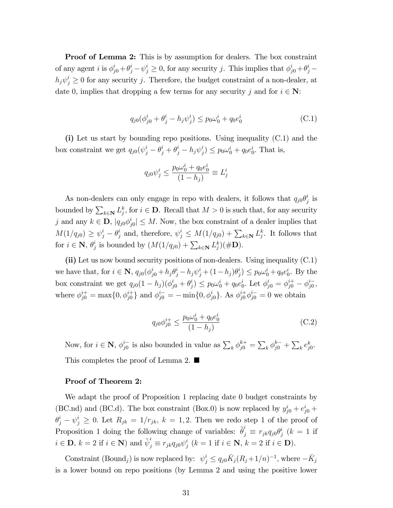**Proof of Lemma 2:** This is by assumption for dealers. The box constraint of any agent *i* is  $\phi_{j0}^i + \theta_j^i - \psi_j^i \ge 0$ , for any security *j*. This implies that  $\phi_{j0}^i + \theta_j^i$  $h_j \psi_j^i \geq 0$  for any security j. Therefore, the budget constraint of a non-dealer, at date 0, implies that dropping a few terms for any security j and for  $i \in \mathbb{N}$ :

$$
q_{j0}(\phi_{j0}^i + \theta_j^i - h_j \psi_j^i) \le p_0 \omega_0^i + q_0 e_0^i
$$
 (C.1)

(i) Let us start by bounding repo positions. Using inequality (C.1) and the box constraint we get  $q_{j0}(\psi_j^i - \theta_j^i + \theta_j^i - h_j\psi_j^i)$  $j^{(i)}_{j} \leq p_0 \omega_0^{i} + q_0 e_0^{i}$ . That is,

$$
q_{j0}\psi_j^i \le \frac{p_0\omega_0^i + q_0 e_0^i}{(1 - h_j)} \equiv L_j^i
$$

As non-dealers can only engage in repo with dealers, it follows that  $q_{j0}\theta_j^i$  $_j^i$  is bounded by  $\sum_{k\in\mathbf{N}} L_j^k$ , for  $i \in \mathbf{D}$ . Recall that  $M > 0$  is such that, for any security j and any  $k \in \mathbf{D}$ ,  $|q_{j0}\phi_j^i|$  $|j_0| \leq M$ . Now, the box constraint of a dealer implies that  $M(1/q_{j0}) \ge \psi_j^i - \theta_j^i$  and, therefore,  $\psi_j^i \le M(1/q_{j0}) + \sum_{k \in \mathbb{N}} L_j^k$ . It follows that for  $i \in \mathbf{N}$ ,  $\theta_j^i$  $j$  is bounded by  $(M(1/q_{j0}) + \sum_{k \in \mathbf{N}} L_j^k)(\# \mathbf{D}).$ 

(ii) Let us now bound security positions of non-dealers. Using inequality  $(C.1)$ we have that, for  $i \in \mathbb{N}$ ,  $q_{j0}(\phi_{j0}^{i} + h_{j}\theta_{j}^{i} - h_{j}\psi_{j}^{i} + (1-h_{j})\theta_{j}^{i})$  $j \leq p_0 \omega_0^i + q_0 e_0^i$ . By the box constraint we get  $q_{j0}(1-h_j)(\phi_{j0}^i + \theta_j^i)$  $j^{(i)}(j) \leq p_0 \omega_0^i + q_0 e_0^i$ . Let  $\phi_{j0}^i = \phi_{j0}^{i+} - \phi_{j0}^{i-}$ , where  $\phi_{j0}^{i+} = \max\{0, \phi_{j0}^{i+}\}\$  and  $\phi_{j0}^{i-} = -\min\{0, \phi_{j0}^{i}\}\$ . As  $\phi_{j0}^{i+} \phi_{j0}^{i-} = 0$  we obtain

$$
q_{j0}\phi_{j0}^{i+} \le \frac{p_0\omega_0^i + q_0 e_0^i}{(1 - h_j)}
$$
(C.2)

Now, for  $i \in \mathbb{N}$ ,  $\phi_{j0}^{i-}$  is also bounded in value as  $\sum_{k} \phi_{j0}^{k+} = \sum_{k} \phi_{j0}^{k-} + \sum_{k} e_{j0}^{k}$ . This completes the proof of Lemma 2.  $\blacksquare$ 

#### Proof of Theorem 2:

We adapt the proof of Proposition 1 replacing date 0 budget constraints by (BC.nd) and (BC.d). The box constraint (Box.0) is now replaced by  $y_{j0}^i + e_{j0}^i +$  $\theta_j^i - \psi_j^i \geq 0$ . Let  $R_{jk} = 1/r_{jk}$ ,  $k = 1, 2$ . Then we redo step 1 of the proof of Proposition 1 doing the following change of variables:  $\hat{\theta}_j^i \equiv r_{jk}q_{j0}\theta_j^i$  $_{j}^{\imath}$   $(k=1$  if  $i \in \mathbf{D}, k = 2$  if  $i \in \mathbf{N}$ ) and  $\tilde{\psi}_j^i \equiv r_{jk}q_{j0}\psi_j^i$  $j_i^i$  ( $k = 1$  if  $i \in \mathbb{N}$ ,  $k = 2$  if  $i \in \mathbb{D}$ ).

Constraint (Bound<sub>j</sub>) is now replaced by:  $\psi_j^i \leq q_{j0} \bar{K}_j (R_j + 1/n)^{-1}$ , where  $-\bar{K}_j$ is a lower bound on repo positions (by Lemma 2 and using the positive lower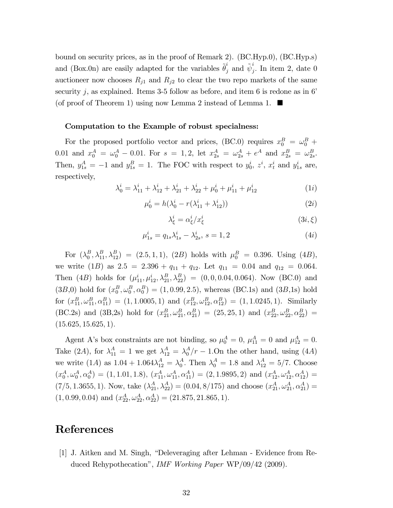bound on security prices, as in the proof of Remark 2). (BC.Hyp.0), (BC.Hyp.s) and (Box.0n) are easily adapted for the variables  $\tilde{\theta}^i_j$  and  $\tilde{\psi}^i_j$  $i_j$ . In item 2, date 0 auctioneer now chooses  $R_{j1}$  and  $R_{j2}$  to clear the two repo markets of the same security j, as explained. Items  $3-5$  follow as before, and item 6 is redone as in 6<sup> $\prime$ </sup> (of proof of Theorem 1) using now Lemma 2 instead of Lemma 1.  $\blacksquare$ 

#### Computation to the Example of robust specialness:

For the proposed portfolio vector and prices, (BC.0) requires  $x_0^B = \omega_0^B +$ 0.01 and  $x_0^A = \omega_0^A - 0.01$ . For  $s = 1, 2$ , let  $x_{2s}^A = \omega_{2s}^A + e^A$  and  $x_{2s}^B = \omega_{2s}^B$ . Then,  $y_{1s}^A = -1$  and  $y_{1s}^B = 1$ . The FOC with respect to  $y_0^i$ ,  $z^i$ ,  $x_t^i$  and  $y_{1s}^i$  are, respectively,

$$
\lambda_0^i = \lambda_{11}^i + \lambda_{12}^i + \lambda_{21}^i + \lambda_{22}^i + \mu_0^i + \mu_{11}^i + \mu_{12}^i \tag{1i}
$$

$$
\mu_0^i = h(\lambda_0^i - r(\lambda_{11}^i + \lambda_{12}^i))
$$
\n(2*i*)

$$
\lambda_{\xi}^{i} = \alpha_{\xi}^{i}/x_{\xi}^{i} \tag{3i, \xi}
$$

$$
\mu_{1s}^i = q_{1s} \lambda_{1s}^i - \lambda_{2s}^i, \ s = 1, 2 \tag{4i}
$$

For  $(\lambda_0^B)$  $\mathcal{L}_{0}^{B}, \lambda_{11}^{B}, \lambda_{12}^{B}) = (2.5, 1, 1), (2B)$  holds with  $\mu_{0}^{B} = 0.396$ . Using  $(4B)$ , we write (1B) as  $2.5 = 2.396 + q_{11} + q_{12}$ . Let  $q_{11} = 0.04$  and  $q_{12} = 0.064$ . Then (4B) holds for  $(\mu_{11}^i, \mu_{12}^i, \lambda_{21}^B, \lambda_{22}^B) = (0, 0, 0.04, 0.064)$ . Now (BC.0) and  $(3B,0)$  hold for  $(x_0^B, \omega_0^B, \alpha_0^B) = (1, 0.99, 2.5)$ , whereas (BC.1s) and  $(3B,1s)$  hold for  $(x_1^B, \omega_{11}^B, \alpha_{11}^B) = (1, 1.0005, 1)$  and  $(x_{12}^B, \omega_{12}^B, \alpha_{12}^B) = (1, 1.0245, 1)$ . Similarly (BC.2s) and (3B,2s) hold for  $(x_{21}^B, \omega_{21}^B, \alpha_{21}^B) = (25, 25, 1)$  and  $(x_{22}^B, \omega_{22}^B, \alpha_{22}^B) =$  $(15.625, 15.625, 1).$ 

Agent A's box constraints are not binding, so  $\mu_0^A = 0$ ,  $\mu_{11}^A = 0$  and  $\mu_{12}^A = 0$ . Take (2A), for  $\lambda_{11}^A = 1$  we get  $\lambda_{12}^A = \lambda_0^A$  $\int_0^A$  /r – 1.0n the other hand, using (4A) we write (1A) as  $1.04 + 1.064\lambda_{12}^{A} = \lambda_0^{A}$  $_{0}^{A}$ . Then  $\lambda_{0}^{A} = 1.8$  and  $\lambda_{12}^{A} = 5/7$ . Choose  $(x_0^A, \omega_0^A, \alpha_0^A) = (1, 1.01, 1.8), (x_{11}^A, \omega_{11}^A, \alpha_{11}^A) = (2, 1.9895, 2) \text{ and } (x_{12}^A, \omega_{12}^A, \alpha_{12}^A) =$  $(7/5, 1.3655, 1)$ . Now, take  $(\lambda_{21}^A, \lambda_{22}^A) = (0.04, 8/175)$  and choose  $(x_{21}^A, \omega_{21}^A, \alpha_{21}^A) =$  $(1, 0.99, 0.04)$  and  $(x_{22}^A, \omega_{22}^A, \alpha_{22}^A) = (21.875, 21.865, 1).$ 

# References

[1] J. Aitken and M. Singh, "Deleveraging after Lehman - Evidence from Reduced Rehypothecation", *IMF Working Paper* WP/09/42 (2009).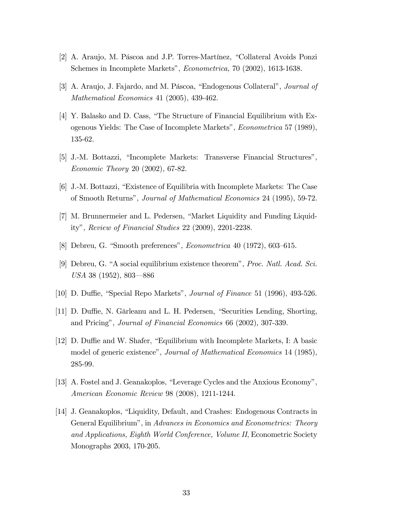- [2] A. Araujo, M. Páscoa and J.P. Torres-Martínez, "Collateral Avoids Ponzi Schemes in Incomplete Markets", *Econometrica*, 70 (2002), 1613-1638.
- [3] A. Araujo, J. Fajardo, and M. Páscoa, "Endogenous Collateral", *Journal of* Mathematical Economics 41 (2005), 439-462.
- [4] Y. Balasko and D. Cass, "The Structure of Financial Equilibrium with Exogenous Yields: The Case of Incomplete Markets", *Econometrica* 57 (1989), 135-62.
- [5] J.-M. Bottazzi, "Incomplete Markets: Transverse Financial Structures", Economic Theory 20 (2002), 67-82.
- [6] J.-M. Bottazzi, "Existence of Equilibria with Incomplete Markets: The Case of Smooth Returnsî, Journal of Mathematical Economics 24 (1995), 59-72.
- [7] M. Brunnermeier and L. Pedersen, "Market Liquidity and Funding Liquidityî, Review of Financial Studies 22 (2009), 2201-2238.
- [8] Debreu, G. "Smooth preferences", *Econometrica* 40 (1972), 603–615.
- [9] Debreu, G. "A social equilibrium existence theorem", *Proc. Natl. Acad. Sci.*  $USA$  38 (1952), 803-886
- [10] D. Duffie, "Special Repo Markets", *Journal of Finance* 51 (1996), 493-526.
- [11] D. Duffie, N. Gârleanu and L. H. Pedersen, "Securities Lending, Shorting, and Pricing", *Journal of Financial Economics* 66 (2002), 307-339.
- [12] D. Duffie and W. Shafer, "Equilibrium with Incomplete Markets, I: A basic model of generic existence", Journal of Mathematical Economics 14 (1985), 285-99.
- [13] A. Fostel and J. Geanakoplos, "Leverage Cycles and the Anxious Economy", American Economic Review 98 (2008), 1211-1244.
- [14] J. Geanakoplos, "Liquidity, Default, and Crashes: Endogenous Contracts in General Equilibrium", in Advances in Economics and Econometrics: Theory and Applications, Eighth World Conference, Volume II, Econometric Society Monographs 2003, 170-205.